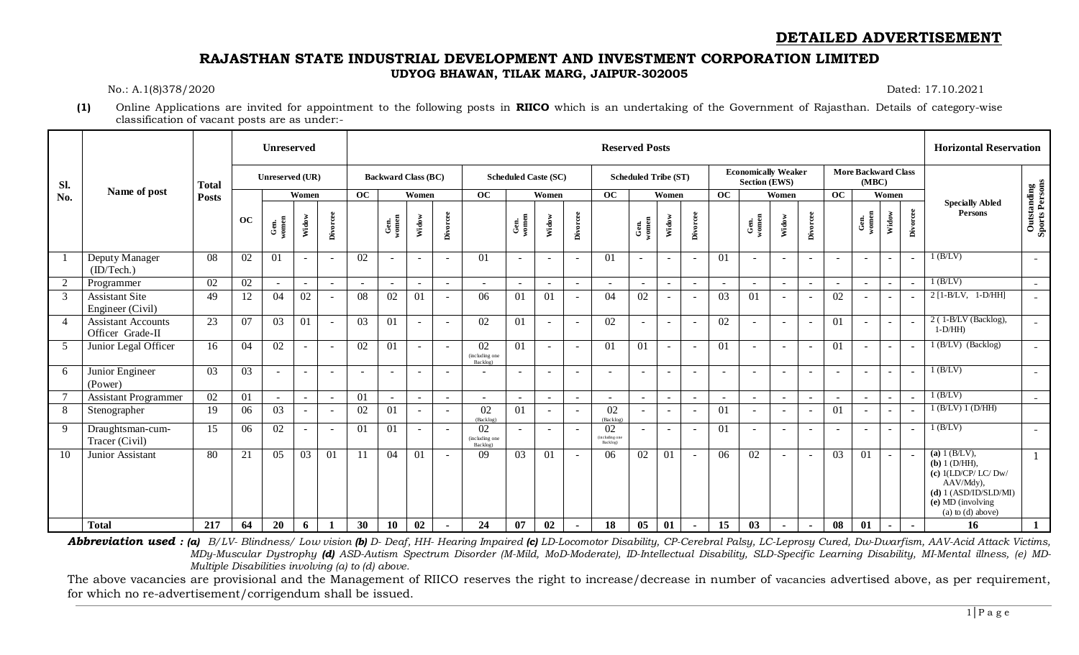## **DETAILED ADVERTISEMENT**

### **RAJASTHAN STATE INDUSTRIAL DEVELOPMENT AND INVESTMENT CORPORATION LIMITED UDYOG BHAWAN, TILAK MARG, JAIPUR-302005**

No.: A.1(8)378/2020 Dated: 17.10.2021

**(1)** Online Applications are invited for appointment to the following posts in **RIICO** which is an undertaking of the Government of Rajasthan. Details of category-wise classification of vacant posts are as under:-

|                |                                               |              |    | Unreserved      |                          |                          |                          |                            |                          |                          |                                  |                             |                          |                          |                                  | <b>Reserved Posts</b>       |                |                          |                |                                                    |                          |                          |                          |                                     |                          |          | <b>Horizontal Reservation</b>                                                                                                                     |                                      |
|----------------|-----------------------------------------------|--------------|----|-----------------|--------------------------|--------------------------|--------------------------|----------------------------|--------------------------|--------------------------|----------------------------------|-----------------------------|--------------------------|--------------------------|----------------------------------|-----------------------------|----------------|--------------------------|----------------|----------------------------------------------------|--------------------------|--------------------------|--------------------------|-------------------------------------|--------------------------|----------|---------------------------------------------------------------------------------------------------------------------------------------------------|--------------------------------------|
| SI.            |                                               | <b>Total</b> |    | Unreserved (UR) |                          |                          |                          | <b>Backward Class (BC)</b> |                          |                          |                                  | <b>Scheduled Caste (SC)</b> |                          |                          |                                  | <b>Scheduled Tribe (ST)</b> |                |                          |                | <b>Economically Weaker</b><br><b>Section (EWS)</b> |                          |                          |                          | <b>More Backward Class</b><br>(MBC) |                          |          |                                                                                                                                                   |                                      |
| No.            | Name of post                                  | <b>Posts</b> |    |                 | Women                    |                          | OC                       |                            | Women                    |                          | OC                               |                             | Women                    |                          | OC                               |                             | Women          |                          | OC             |                                                    | Women                    |                          | OC                       |                                     | Women                    |          |                                                                                                                                                   |                                      |
|                |                                               |              | oc | Gen.<br>women   | Widow                    | Divorcee                 |                          | Gen.<br>women              | Widow                    | Divorcee                 |                                  | Gen.<br>women               | Widow                    | Divorcee                 |                                  | Gen.<br>women               | Widow          | Divorcee                 |                | Gen.<br>women                                      | Widow                    | Divorcee                 |                          | Gen.<br>women                       | Widow                    | Divorcee | <b>Specially Abled</b><br><b>Persons</b>                                                                                                          | <b>Outstanding</b><br>Sports Persons |
|                | Deputy Manager<br>(ID/Techn.)                 | -08          | 02 | 01              | $\sim$                   | $\sim$                   | 02                       |                            | $\blacksquare$           | $\overline{\phantom{a}}$ | 01                               | $\sim$                      | $\sim$                   | $\overline{\phantom{a}}$ | 01                               | $\sim$                      | $\sim$         | $\sim$                   | 01             | $\sim$                                             | $\overline{\phantom{a}}$ | $\overline{\phantom{a}}$ | $\overline{\phantom{a}}$ | $\sim$                              | $\sim$                   |          | $1$ (B/LV)                                                                                                                                        | $\overline{\phantom{a}}$             |
| $\overline{2}$ | Programmer                                    | 02           | 02 | $\sim$          | $\sim$                   | $\sim$                   | $\sim$                   |                            | $\sim$                   | $\sim$                   | $\overline{\phantom{a}}$         | $\sim$                      | $\sim$                   | $\overline{\phantom{a}}$ | $\sim$                           | $\sim$                      | $\sim$         | $\sim$                   | $\overline{a}$ | $\sim$                                             | $\sim$                   | $\sim$                   | $\sim$                   | $\sim$                              | $\sim$                   |          | $1$ (B/LV)                                                                                                                                        | $\sim$                               |
| 3              | <b>Assistant Site</b><br>Engineer (Civil)     | 49           | 12 | 04              | 02                       | $\overline{\phantom{a}}$ | 08                       | 02                         | 01                       |                          | 06                               | 01                          | 01                       |                          | 04                               | 02                          | $\sim$         | $\sim$                   | 03             | 01                                                 |                          |                          | 02                       |                                     | $\sim$                   |          | $2$ [1-B/LV, 1-D/HH]                                                                                                                              | $\sim$                               |
| $\overline{4}$ | <b>Assistant Accounts</b><br>Officer Grade-II | 23           | 07 | 03              | 01                       | $\sim$                   | 03                       | 01                         | $\blacksquare$           | $\overline{\phantom{a}}$ | 02                               | 01                          | $\overline{a}$           | $\overline{\phantom{a}}$ | 02                               | $\sim$                      | $\sim$         | $\sim$                   | 02             | $\sim$                                             | $\sim$                   | $\sim$                   | 01                       | $\sim$                              | $\sim$                   |          | 2 (1-B/LV (Backlog),<br>$1-D/HH$                                                                                                                  | $ \,$                                |
| 5              | Junior Legal Officer                          | 16           | 04 | 02              | $\sim$                   | $\sim$                   | 02                       | 01                         | $\overline{\phantom{a}}$ | $\overline{\phantom{a}}$ | 02<br>(including one<br>Backlog) | 01                          | $\sim$                   | $\overline{\phantom{a}}$ | 01                               | 01                          | $\sim$         | $\sim$                   | 01             | $\overline{\phantom{a}}$                           | $\sim$                   | $\sim$                   | 01                       | $\sim$                              | $\overline{\phantom{a}}$ |          | $1$ (B/LV) (Backlog)                                                                                                                              | $\sim$                               |
| 6              | Junior Engineer<br>(Power)                    | 03           | 03 |                 | $\sim$                   | $\overline{\phantom{a}}$ | $\overline{\phantom{a}}$ |                            | ٠                        |                          |                                  | $\overline{\phantom{a}}$    | $\overline{\phantom{a}}$ |                          | $\overline{\phantom{a}}$         | $\overline{\phantom{a}}$    | $\overline{a}$ | $\sim$                   |                |                                                    | $\qquad \qquad -$        | $\overline{\phantom{a}}$ | $\overline{\phantom{a}}$ |                                     | $\sim$                   |          | (B/LV)                                                                                                                                            | $\sim$                               |
|                | <b>Assistant Programmer</b>                   | 02           | 01 | $\sim$          | $\sim$                   | $\sim$                   | 01                       |                            | $\overline{\phantom{a}}$ | $\overline{\phantom{a}}$ | $\overline{\phantom{a}}$         | $\sim$                      | $\sim$                   | $\overline{\phantom{a}}$ | $\sim$                           | $\overline{\phantom{a}}$    | $\sim$         | $\sim$                   | $\sim$         | $\blacksquare$                                     | $\overline{a}$           | $\overline{\phantom{a}}$ |                          | $\sim$                              | $\sim$                   |          | $1$ (B/LV)                                                                                                                                        | $\overline{\phantom{a}}$             |
| 8              | Stenographer                                  | 19           | 06 | 03              | $\sim$                   | $\sim$                   | 02                       | 01                         | $\overline{\phantom{a}}$ | $\sim$                   | 02<br>(Backlog)                  | 01                          | $\sim$                   | $\overline{\phantom{a}}$ | 02<br>(Backlog)                  | $\sim$                      | $\sim$         | $\sim$                   | 01             |                                                    | $\sim$                   | $\overline{\phantom{a}}$ | 01                       | $\sim$                              | $\sim$                   |          | $1$ (B/LV) $1$ (D/HH)                                                                                                                             |                                      |
| 9              | Draughtsman-cum-<br>Tracer (Civil)            | 15           | 06 | 02              | $\overline{\phantom{a}}$ | $\overline{\phantom{a}}$ | 01                       | 01                         | $\blacksquare$           | $\overline{\phantom{a}}$ | 02<br>(including one<br>Backlog) | $\sim$                      | $\sim$                   | $\sim$                   | 02<br>(including one<br>Backlog) | $\overline{\phantom{a}}$    | $\sim$         | $\overline{\phantom{a}}$ | 01             | $\sim$                                             | $\sim$                   | $\overline{\phantom{a}}$ | $\sim$                   | $\sim$                              | $\sim$                   |          | $1$ (B/LV)                                                                                                                                        | $\sim$                               |
| 10             | Junior Assistant                              | 80           | 21 | 05              | 03                       | 01                       | 11                       | 04                         | 01                       | $\overline{\phantom{a}}$ | 09                               | 03                          | 01                       | $\sim$                   | 06                               | 02                          | 01             | $\sim$                   | 06             | 02                                                 | $\sim$                   | $\sim$                   | 03                       | 01                                  | $\sim$                   |          | (a) $1(B/LV)$ ,<br>$(b) 1$ (D/HH),<br>(c) $1$ (LD/CP/LC/Dw/<br>AAV/Mdy),<br>(d) 1 (ASD/ID/SLD/MI)<br>$(e)$ MD (involving<br>$(a)$ to $(d)$ above) | $\mathbf{1}$                         |
|                | <b>Total</b>                                  | 217          | 64 | 20              | 6                        |                          | 30                       | <b>10</b>                  | 02                       | $\blacksquare$           | 24                               | 07                          | 02                       | $\sim$                   | 18                               | $05\,$                      | 01             | $\sim$                   | 15             | 03                                                 | $\overline{\phantom{a}}$ | $\sim$                   | 08                       | 01                                  | $\sim$                   |          | 16                                                                                                                                                | $\mathbf{1}$                         |

Abbreviation used: (a) B/LV- Blindness/ Low vision (b) D- Deaf, HH- Hearing Impaired (c) LD-Locomotor Disability, CP-Cerebral Palsy, LC-Leprosy Cured, Dw-Dwarfism, AAV-Acid Attack Victims, *MDy-Muscular Dystrophy (d) ASD-Autism Spectrum Disorder (M-Mild, MoD-Moderate), ID-Intellectual Disability, SLD-Specific Learning Disability, MI-Mental illness, (e) MD-Multiple Disabilities involving (a) to (d) above.*

The above vacancies are provisional and the Management of RIICO reserves the right to increase/decrease in number of vacancies advertised above, as per requirement, for which no re-advertisement/corrigendum shall be issued.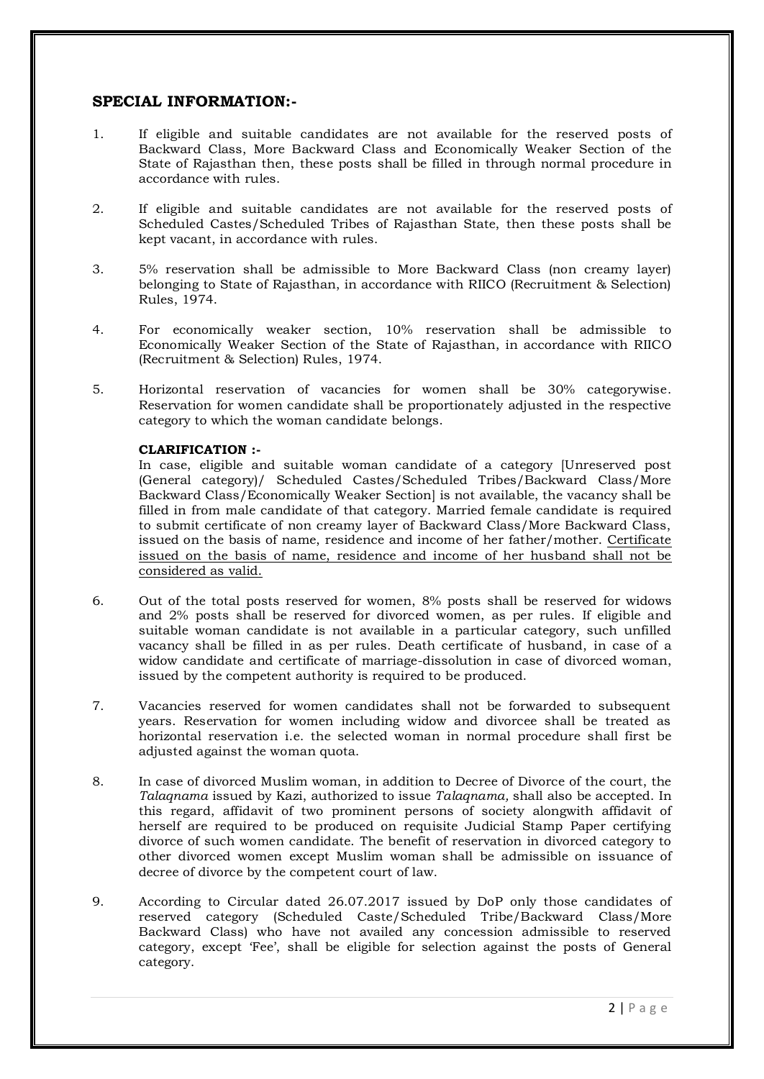### **SPECIAL INFORMATION:-**

- 1. If eligible and suitable candidates are not available for the reserved posts of Backward Class, More Backward Class and Economically Weaker Section of the State of Rajasthan then, these posts shall be filled in through normal procedure in accordance with rules.
- 2. If eligible and suitable candidates are not available for the reserved posts of Scheduled Castes/Scheduled Tribes of Rajasthan State, then these posts shall be kept vacant, in accordance with rules.
- 3. 5% reservation shall be admissible to More Backward Class (non creamy layer) belonging to State of Rajasthan, in accordance with RIICO (Recruitment & Selection) Rules, 1974.
- 4. For economically weaker section, 10% reservation shall be admissible to Economically Weaker Section of the State of Rajasthan, in accordance with RIICO (Recruitment & Selection) Rules, 1974.
- 5. Horizontal reservation of vacancies for women shall be 30% categorywise. Reservation for women candidate shall be proportionately adjusted in the respective category to which the woman candidate belongs.

#### **CLARIFICATION :-**

In case, eligible and suitable woman candidate of a category [Unreserved post (General category)/ Scheduled Castes/Scheduled Tribes/Backward Class/More Backward Class/Economically Weaker Section] is not available, the vacancy shall be filled in from male candidate of that category. Married female candidate is required to submit certificate of non creamy layer of Backward Class/More Backward Class, issued on the basis of name, residence and income of her father/mother. Certificate issued on the basis of name, residence and income of her husband shall not be considered as valid.

- 6. Out of the total posts reserved for women, 8% posts shall be reserved for widows and 2% posts shall be reserved for divorced women, as per rules. If eligible and suitable woman candidate is not available in a particular category, such unfilled vacancy shall be filled in as per rules. Death certificate of husband, in case of a widow candidate and certificate of marriage-dissolution in case of divorced woman, issued by the competent authority is required to be produced.
- 7. Vacancies reserved for women candidates shall not be forwarded to subsequent years. Reservation for women including widow and divorcee shall be treated as horizontal reservation i.e. the selected woman in normal procedure shall first be adjusted against the woman quota.
- 8. In case of divorced Muslim woman, in addition to Decree of Divorce of the court, the *Talaqnama* issued by Kazi, authorized to issue *Talaqnama,* shall also be accepted. In this regard, affidavit of two prominent persons of society alongwith affidavit of herself are required to be produced on requisite Judicial Stamp Paper certifying divorce of such women candidate. The benefit of reservation in divorced category to other divorced women except Muslim woman shall be admissible on issuance of decree of divorce by the competent court of law.
- 9. According to Circular dated 26.07.2017 issued by DoP only those candidates of reserved category (Scheduled Caste/Scheduled Tribe/Backward Class/More Backward Class) who have not availed any concession admissible to reserved category, except "Fee", shall be eligible for selection against the posts of General category.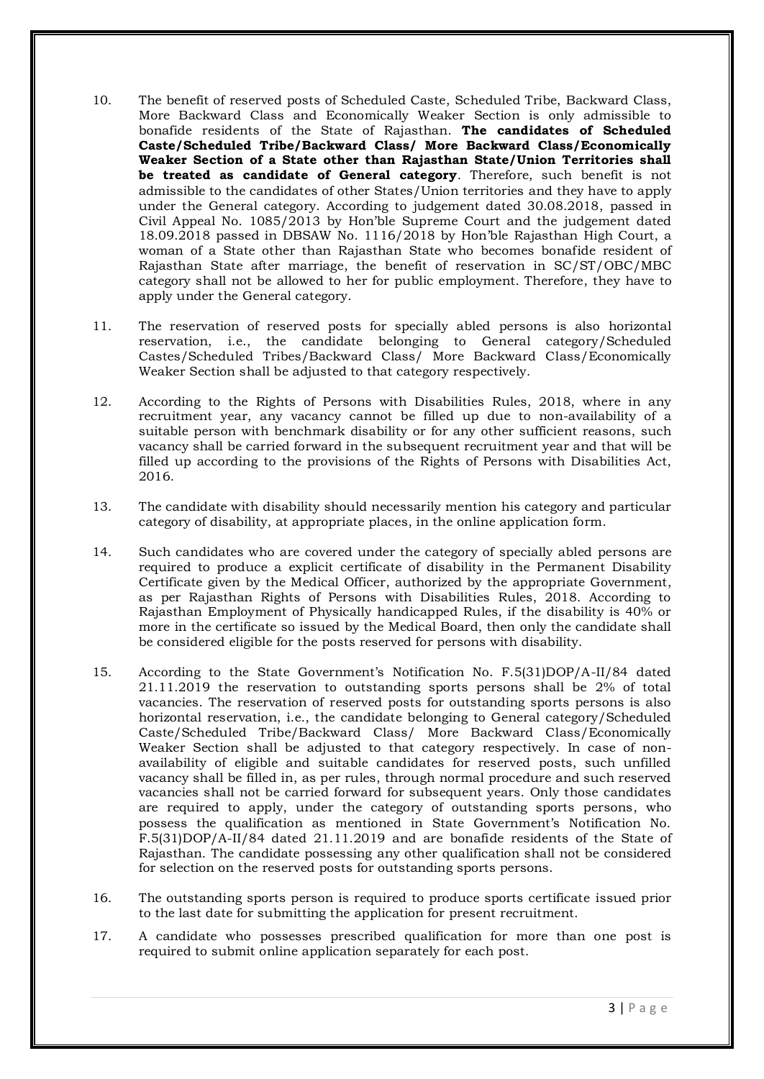- 10. The benefit of reserved posts of Scheduled Caste, Scheduled Tribe, Backward Class, More Backward Class and Economically Weaker Section is only admissible to bonafide residents of the State of Rajasthan. **The candidates of Scheduled Caste/Scheduled Tribe/Backward Class/ More Backward Class/Economically Weaker Section of a State other than Rajasthan State/Union Territories shall be treated as candidate of General category**. Therefore, such benefit is not admissible to the candidates of other States/Union territories and they have to apply under the General category. According to judgement dated 30.08.2018, passed in Civil Appeal No. 1085/2013 by Hon"ble Supreme Court and the judgement dated 18.09.2018 passed in DBSAW No. 1116/2018 by Hon"ble Rajasthan High Court, a woman of a State other than Rajasthan State who becomes bonafide resident of Rajasthan State after marriage, the benefit of reservation in SC/ST/OBC/MBC category shall not be allowed to her for public employment. Therefore, they have to apply under the General category.
- 11. The reservation of reserved posts for specially abled persons is also horizontal reservation, i.e., the candidate belonging to General category/Scheduled Castes/Scheduled Tribes/Backward Class/ More Backward Class/Economically Weaker Section shall be adjusted to that category respectively.
- 12. According to the Rights of Persons with Disabilities Rules, 2018, where in any recruitment year, any vacancy cannot be filled up due to non-availability of a suitable person with benchmark disability or for any other sufficient reasons, such vacancy shall be carried forward in the subsequent recruitment year and that will be filled up according to the provisions of the Rights of Persons with Disabilities Act, 2016.
- 13. The candidate with disability should necessarily mention his category and particular category of disability, at appropriate places, in the online application form.
- 14. Such candidates who are covered under the category of specially abled persons are required to produce a explicit certificate of disability in the Permanent Disability Certificate given by the Medical Officer, authorized by the appropriate Government, as per Rajasthan Rights of Persons with Disabilities Rules, 2018. According to Rajasthan Employment of Physically handicapped Rules, if the disability is 40% or more in the certificate so issued by the Medical Board, then only the candidate shall be considered eligible for the posts reserved for persons with disability.
- 15. According to the State Government"s Notification No. F.5(31)DOP/A-II/84 dated 21.11.2019 the reservation to outstanding sports persons shall be 2% of total vacancies. The reservation of reserved posts for outstanding sports persons is also horizontal reservation, i.e., the candidate belonging to General category/Scheduled Caste/Scheduled Tribe/Backward Class/ More Backward Class/Economically Weaker Section shall be adjusted to that category respectively. In case of nonavailability of eligible and suitable candidates for reserved posts, such unfilled vacancy shall be filled in, as per rules, through normal procedure and such reserved vacancies shall not be carried forward for subsequent years. Only those candidates are required to apply, under the category of outstanding sports persons, who possess the qualification as mentioned in State Government"s Notification No. F.5(31)DOP/A-II/84 dated 21.11.2019 and are bonafide residents of the State of Rajasthan. The candidate possessing any other qualification shall not be considered for selection on the reserved posts for outstanding sports persons.
- 16. The outstanding sports person is required to produce sports certificate issued prior to the last date for submitting the application for present recruitment.
- 17. A candidate who possesses prescribed qualification for more than one post is required to submit online application separately for each post.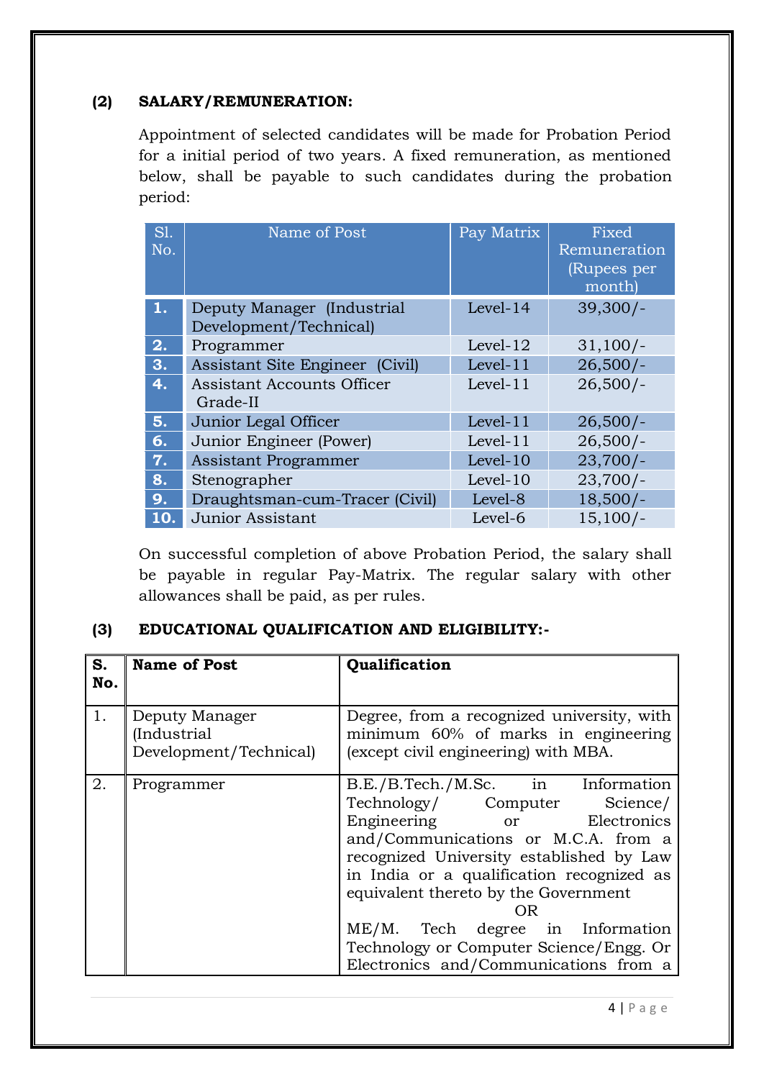# **(2) SALARY/REMUNERATION:**

Appointment of selected candidates will be made for Probation Period for a initial period of two years. A fixed remuneration, as mentioned below, shall be payable to such candidates during the probation period:

| SI.<br>No. | Name of Post                                         | Pay Matrix  | Fixed<br>Remuneration<br>(Rupees per<br>month) |
|------------|------------------------------------------------------|-------------|------------------------------------------------|
| 1.         | Deputy Manager (Industrial<br>Development/Technical) | Level-14    | $39,300/-$                                     |
| 2.         | Programmer                                           | Level- $12$ | $31,100/-$                                     |
| 3.         | Assistant Site Engineer (Civil)                      | Level-11    | $26,500/-$                                     |
| 4.         | <b>Assistant Accounts Officer</b><br>Grade-II        | Level- $11$ | $26,500/-$                                     |
| 5.         | Junior Legal Officer                                 | Level-11    | $26,500/-$                                     |
| 6.         | Junior Engineer (Power)                              | Level- $11$ | $26,500/-$                                     |
| 7.         | <b>Assistant Programmer</b>                          | Level-10    | $23,700/-$                                     |
| 8.         | Stenographer                                         | Level-10    | $23,700/-$                                     |
| 9.         | Draughtsman-cum-Tracer (Civil)                       | Level-8     | $18,500/-$                                     |
| 10.        | <b>Junior Assistant</b>                              | Level-6     | $15,100/-$                                     |

On successful completion of above Probation Period, the salary shall be payable in regular Pay-Matrix. The regular salary with other allowances shall be paid, as per rules.

# **(3) EDUCATIONAL QUALIFICATION AND ELIGIBILITY:-**

| S.<br>No. | <b>Name of Post</b>                                     | Qualification                                                                                                                                                                                                                                                                                                                                                                                           |
|-----------|---------------------------------------------------------|---------------------------------------------------------------------------------------------------------------------------------------------------------------------------------------------------------------------------------------------------------------------------------------------------------------------------------------------------------------------------------------------------------|
| 1.        | Deputy Manager<br>(Industrial<br>Development/Technical) | Degree, from a recognized university, with<br>minimum 60% of marks in engineering<br>(except civil engineering) with MBA.                                                                                                                                                                                                                                                                               |
| 2.        | Programmer                                              | B.E./B.Tech./M.Sc. in Information<br>Technology/ Computer Science/<br>Engineering or Electronics<br>and/Communications or M.C.A. from a<br>recognized University established by Law<br>in India or a qualification recognized as<br>equivalent thereto by the Government<br>OR.<br>ME/M. Tech degree in Information<br>Technology or Computer Science/Engg. Or<br>Electronics and/Communications from a |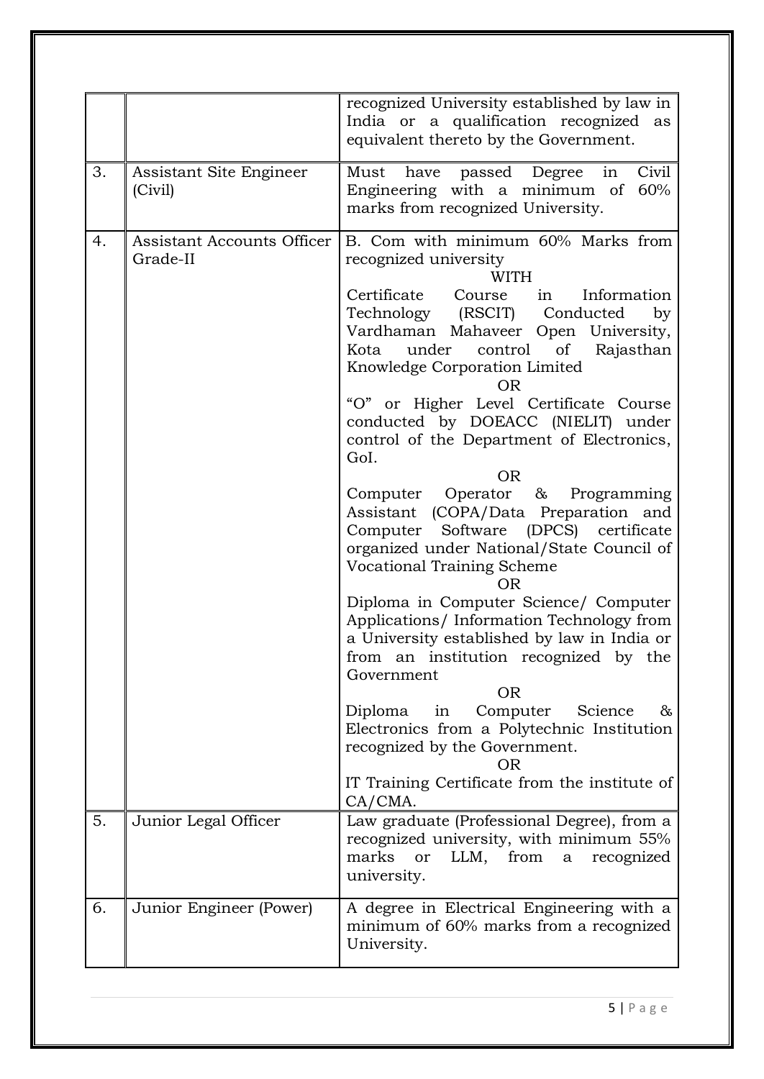|    |                                        | recognized University established by law in<br>India or a qualification recognized as<br>equivalent thereto by the Government.                                                                                                                                                                                                                                                                                                                                                                                                                                                                                                                                                                                                                                                                                                                                                                                                                                                                                                                                   |
|----|----------------------------------------|------------------------------------------------------------------------------------------------------------------------------------------------------------------------------------------------------------------------------------------------------------------------------------------------------------------------------------------------------------------------------------------------------------------------------------------------------------------------------------------------------------------------------------------------------------------------------------------------------------------------------------------------------------------------------------------------------------------------------------------------------------------------------------------------------------------------------------------------------------------------------------------------------------------------------------------------------------------------------------------------------------------------------------------------------------------|
| 3. | Assistant Site Engineer<br>(Civil)     | in<br>have passed Degree<br>Civil<br>Must<br>Engineering with a minimum of<br>60%<br>marks from recognized University.                                                                                                                                                                                                                                                                                                                                                                                                                                                                                                                                                                                                                                                                                                                                                                                                                                                                                                                                           |
| 4. | Assistant Accounts Officer<br>Grade-II | B. Com with minimum 60% Marks from<br>recognized university<br><b>WITH</b><br>Certificate Course<br>in Information<br>Technology (RSCIT)<br>Conducted<br>by<br>Vardhaman Mahaveer Open University,<br>under control of<br>Rajasthan<br>Kota<br>Knowledge Corporation Limited<br><b>OR</b><br>"O" or Higher Level Certificate Course<br>conducted by DOEACC (NIELIT) under<br>control of the Department of Electronics,<br>GoI.<br><b>OR</b><br>Computer Operator & Programming<br>Assistant (COPA/Data Preparation and<br>Computer Software (DPCS) certificate<br>organized under National/State Council of<br>Vocational Training Scheme<br><b>OR</b><br>Diploma in Computer Science/ Computer<br>Applications/Information Technology from<br>a University established by law in India or<br>from an institution recognized by the<br>Government<br><b>OR</b><br>Diploma in<br>Computer<br>Science<br>&<br>Electronics from a Polytechnic Institution<br>recognized by the Government.<br><b>OR</b><br>IT Training Certificate from the institute of<br>CA/CMA. |
| 5. | Junior Legal Officer                   | Law graduate (Professional Degree), from a<br>recognized university, with minimum 55%<br>marks<br>LLM,<br>from<br>or<br>a<br>recognized<br>university.                                                                                                                                                                                                                                                                                                                                                                                                                                                                                                                                                                                                                                                                                                                                                                                                                                                                                                           |
| 6. | Junior Engineer (Power)                | A degree in Electrical Engineering with a<br>minimum of 60% marks from a recognized<br>University.                                                                                                                                                                                                                                                                                                                                                                                                                                                                                                                                                                                                                                                                                                                                                                                                                                                                                                                                                               |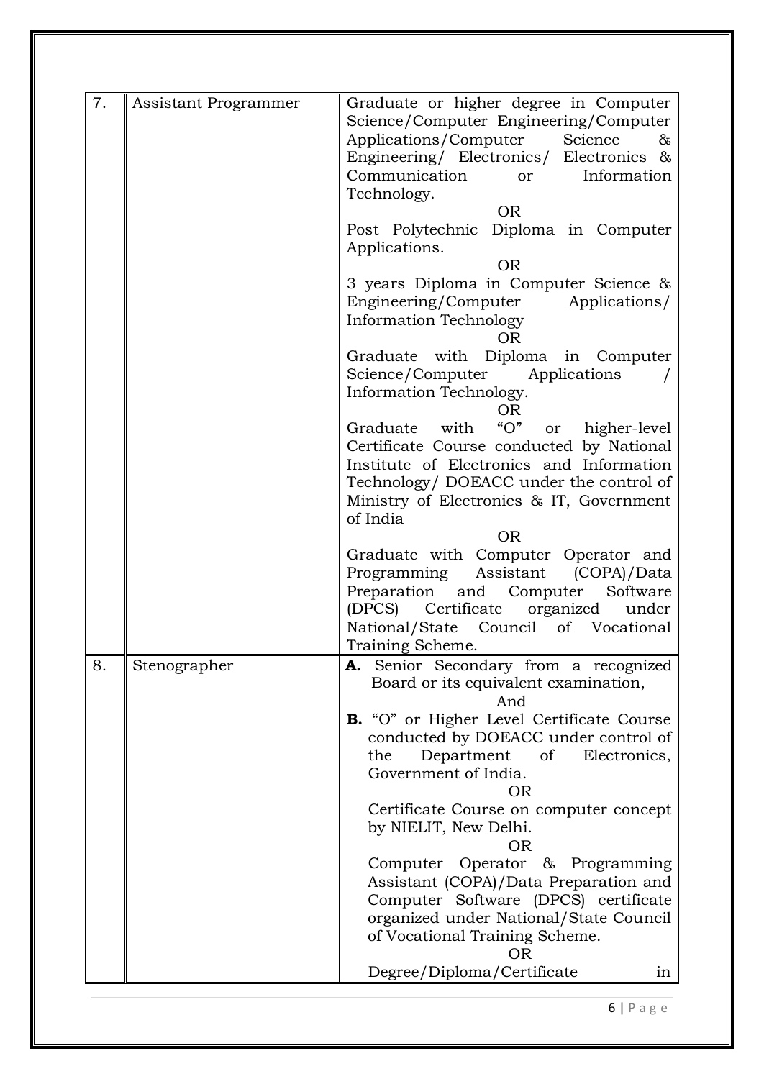| 7. | Assistant Programmer | Graduate or higher degree in Computer<br>Science/Computer Engineering/Computer<br>Applications/Computer<br>Science<br>&<br>Engineering/ Electronics/ Electronics &<br>Communication<br>Information<br>or<br>Technology.<br><b>OR</b>                  |
|----|----------------------|-------------------------------------------------------------------------------------------------------------------------------------------------------------------------------------------------------------------------------------------------------|
|    |                      | Post Polytechnic Diploma in Computer<br>Applications.<br><b>OR</b>                                                                                                                                                                                    |
|    |                      | 3 years Diploma in Computer Science &<br>Engineering/Computer Applications/<br>Information Technology<br><b>OR</b>                                                                                                                                    |
|    |                      | Graduate with Diploma in Computer<br>Science/Computer Applications<br>Information Technology.<br>OR                                                                                                                                                   |
|    |                      | " $O"$<br>Graduate with<br>higher-level<br>or<br>Certificate Course conducted by National<br>Institute of Electronics and Information<br>Technology/ DOEACC under the control of<br>Ministry of Electronics & IT, Government<br>of India<br><b>OR</b> |
|    |                      | Graduate with Computer Operator and<br>Programming Assistant (COPA)/Data<br>Preparation<br>and Computer Software<br>Certificate<br>organized<br>(DPCS)<br>under<br>National/State Council of Vocational<br>Training Scheme.                           |
| 8. | Stenographer         | Senior Secondary from a recognized<br>А.<br>Board or its equivalent examination,<br>And                                                                                                                                                               |
|    |                      | B. "O" or Higher Level Certificate Course<br>conducted by DOEACC under control of<br>Department<br>the<br>of<br>Electronics,<br>Government of India.<br><b>OR</b><br>Certificate Course on computer concept                                           |
|    |                      | by NIELIT, New Delhi.<br><b>OR</b>                                                                                                                                                                                                                    |
|    |                      | Computer Operator & Programming<br>Assistant (COPA)/Data Preparation and<br>Computer Software (DPCS) certificate<br>organized under National/State Council<br>of Vocational Training Scheme.<br><b>OR</b>                                             |
|    |                      | Degree/Diploma/Certificate<br>in                                                                                                                                                                                                                      |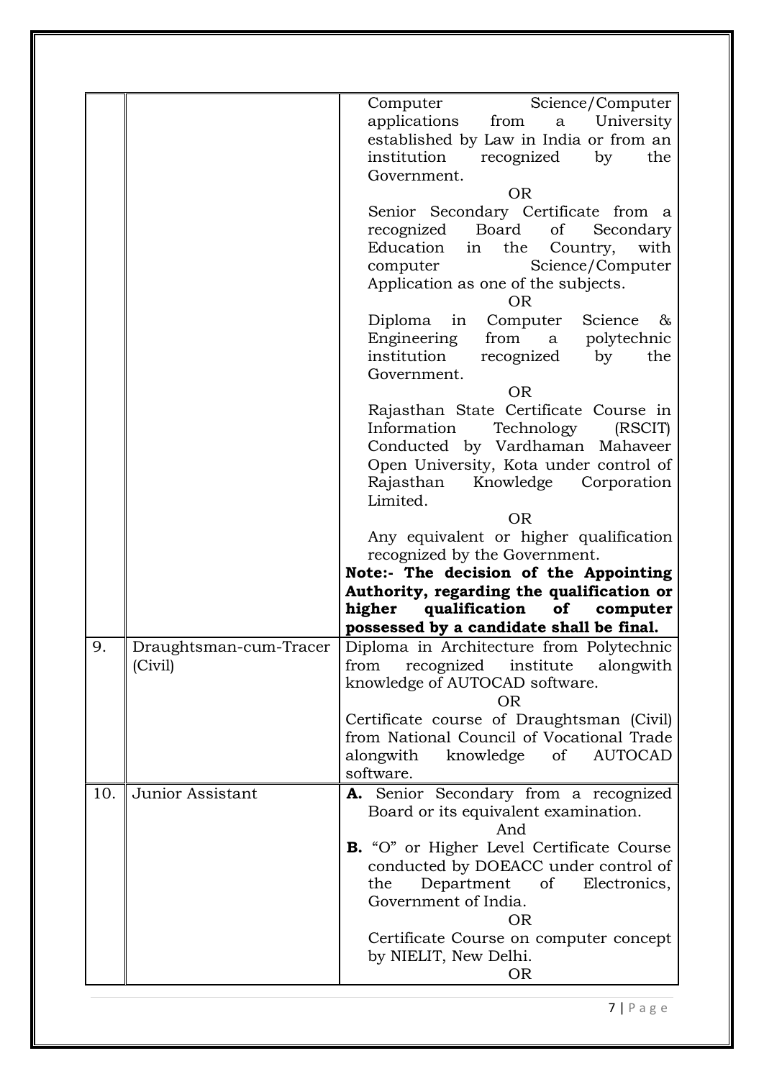|     |                                   | Science/Computer<br>Computer<br>applications<br>from<br>University<br>a<br>established by Law in India or from an<br>institution<br>recognized<br>the<br>by<br>Government.<br><b>OR</b><br>Senior Secondary Certificate from a<br>Board<br>of<br>recognized<br>Secondary<br>Education<br>in<br>the<br>with<br>Country,<br>Science/Computer<br>computer<br>Application as one of the subjects.<br><b>OR</b><br>Diploma in<br>Computer<br>Science<br>&<br>Engineering<br>from a<br>polytechnic<br>institution<br>recognized<br>the<br>by<br>Government.<br><b>OR</b><br>Rajasthan State Certificate Course in<br>Information<br>Technology<br>(RSCIT)<br>Conducted by Vardhaman Mahaveer<br>Open University, Kota under control of<br>Knowledge<br>Corporation<br>Rajasthan<br>Limited.<br><b>OR</b><br>Any equivalent or higher qualification<br>recognized by the Government.<br>Note:- The decision of the Appointing<br>Authority, regarding the qualification or<br>higher<br>qualification<br>of computer<br>possessed by a candidate shall be final. |
|-----|-----------------------------------|-----------------------------------------------------------------------------------------------------------------------------------------------------------------------------------------------------------------------------------------------------------------------------------------------------------------------------------------------------------------------------------------------------------------------------------------------------------------------------------------------------------------------------------------------------------------------------------------------------------------------------------------------------------------------------------------------------------------------------------------------------------------------------------------------------------------------------------------------------------------------------------------------------------------------------------------------------------------------------------------------------------------------------------------------------------|
| 9.  | Draughtsman-cum-Tracer<br>(Civil) | Diploma in Architecture from Polytechnic<br>recognized institute<br>alongwith<br>from<br>knowledge of AUTOCAD software.<br><b>OR</b><br>Certificate course of Draughtsman (Civil)<br>from National Council of Vocational Trade<br>alongwith knowledge<br>of<br><b>AUTOCAD</b><br>software.                                                                                                                                                                                                                                                                                                                                                                                                                                                                                                                                                                                                                                                                                                                                                                |
| 10. | Junior Assistant                  | A. Senior Secondary from a recognized<br>Board or its equivalent examination.<br>And<br>B. "O" or Higher Level Certificate Course<br>conducted by DOEACC under control of<br>Department<br>of<br>Electronics,<br>the<br>Government of India.<br><b>OR</b><br>Certificate Course on computer concept<br>by NIELIT, New Delhi.<br><b>OR</b>                                                                                                                                                                                                                                                                                                                                                                                                                                                                                                                                                                                                                                                                                                                 |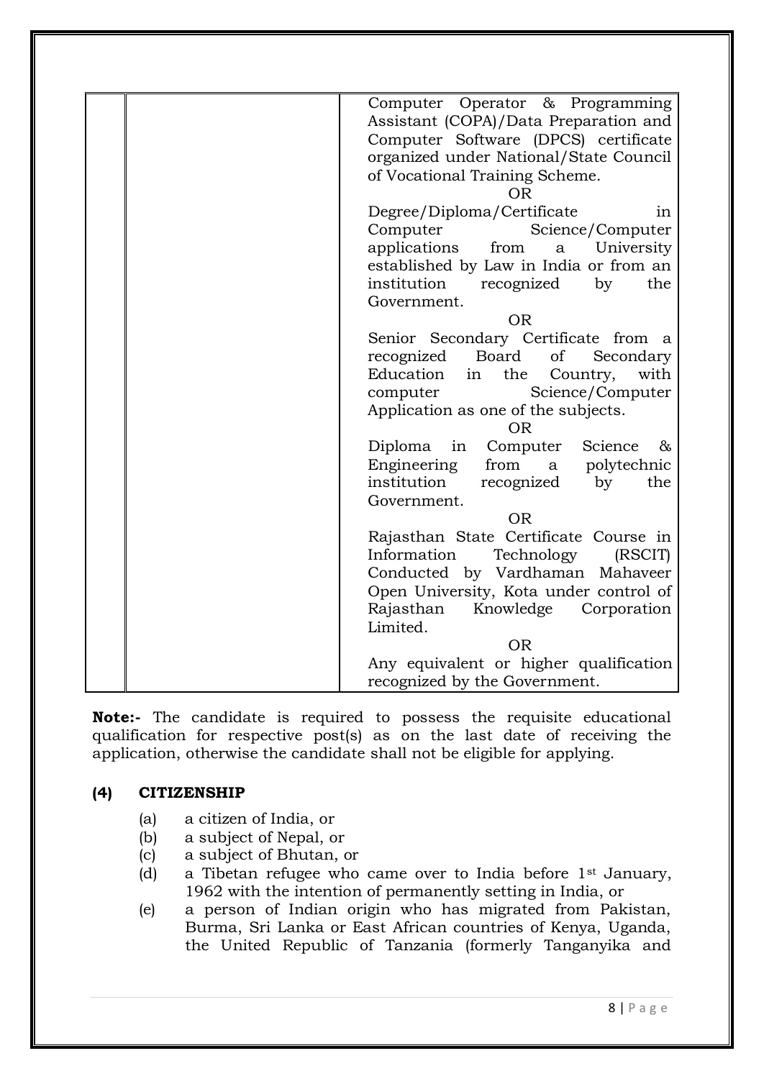| Computer Operator & Programming<br>Assistant (COPA)/Data Preparation and<br>Computer Software (DPCS) certificate<br>organized under National/State Council<br>of Vocational Training Scheme.<br><b>OR</b> |
|-----------------------------------------------------------------------------------------------------------------------------------------------------------------------------------------------------------|
| Degree/Diploma/Certificate<br>1n                                                                                                                                                                          |
| Computer<br>Science/Computer                                                                                                                                                                              |
| applications<br>University<br>from<br>a                                                                                                                                                                   |
| established by Law in India or from an                                                                                                                                                                    |
| institution<br>recognized<br>by<br>the                                                                                                                                                                    |
| Government.<br><b>OR</b>                                                                                                                                                                                  |
| Senior Secondary Certificate from a                                                                                                                                                                       |
| Board<br>recognized<br>of<br>Secondary                                                                                                                                                                    |
| Education<br>with<br>in<br>the<br>Country,                                                                                                                                                                |
| Science/Computer<br>computer                                                                                                                                                                              |
| Application as one of the subjects.                                                                                                                                                                       |
| <b>OR</b>                                                                                                                                                                                                 |
| Diploma<br>Computer<br>Science<br>in<br>&                                                                                                                                                                 |
| Engineering<br>from<br>a polytechnic                                                                                                                                                                      |
| institution<br>recognized<br>the<br>by<br>Government.                                                                                                                                                     |
| <b>OR</b>                                                                                                                                                                                                 |
| Rajasthan State Certificate Course in                                                                                                                                                                     |
| Information<br>Technology<br>(RSCIT)                                                                                                                                                                      |
| Conducted by Vardhaman Mahaveer                                                                                                                                                                           |
| Open University, Kota under control of                                                                                                                                                                    |
| Rajasthan<br>Knowledge<br>Corporation                                                                                                                                                                     |
| Limited.                                                                                                                                                                                                  |
| <b>OR</b>                                                                                                                                                                                                 |
| Any equivalent or higher qualification                                                                                                                                                                    |
| recognized by the Government.                                                                                                                                                                             |

**Note:-** The candidate is required to possess the requisite educational qualification for respective post(s) as on the last date of receiving the application, otherwise the candidate shall not be eligible for applying.

# **(4) CITIZENSHIP**

- (a) a citizen of India, or
- (b) a subject of Nepal, or
- (c) a subject of Bhutan, or
- (d) a Tibetan refugee who came over to India before 1st January, 1962 with the intention of permanently setting in India, or
- (e) a person of Indian origin who has migrated from Pakistan, Burma, Sri Lanka or East African countries of Kenya, Uganda, the United Republic of Tanzania (formerly Tanganyika and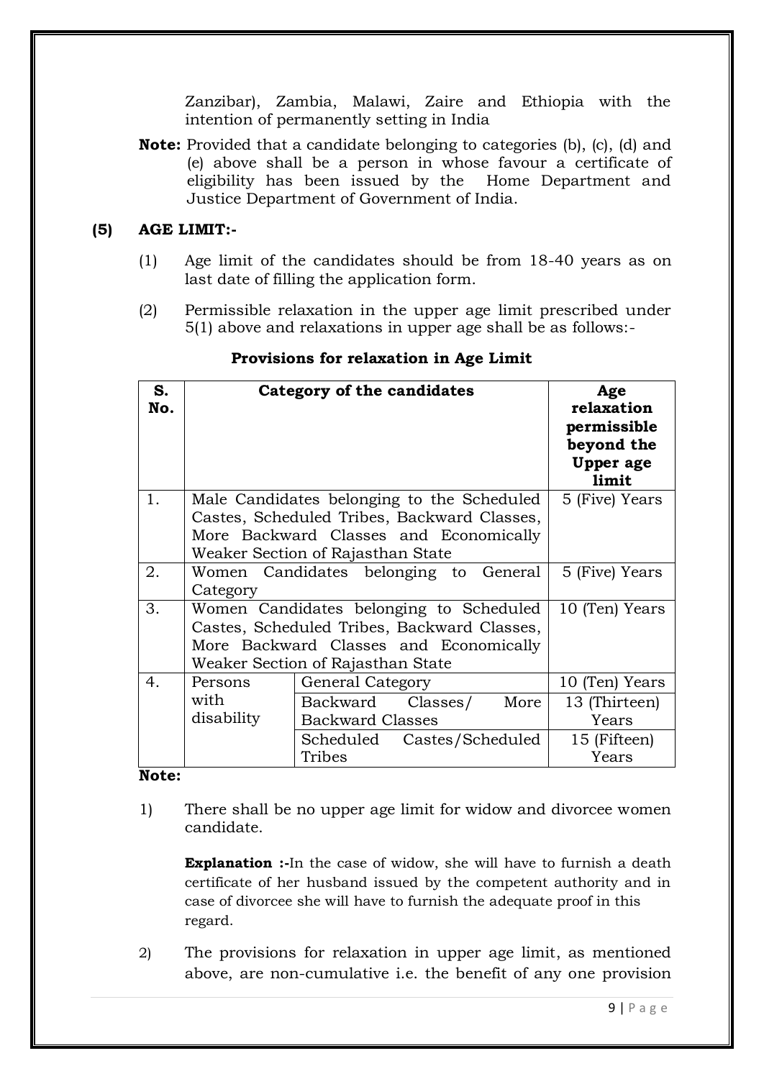Zanzibar), Zambia, Malawi, Zaire and Ethiopia with the intention of permanently setting in India

**Note:** Provided that a candidate belonging to categories (b), (c), (d) and (e) above shall be a person in whose favour a certificate of eligibility has been issued by the Home Department and Justice Department of Government of India.

## **(5) AGE LIMIT:-**

- (1) Age limit of the candidates should be from 18-40 years as on last date of filling the application form.
- (2) Permissible relaxation in the upper age limit prescribed under 5(1) above and relaxations in upper age shall be as follows:-

| S.<br>No. |                               | <b>Category of the candidates</b>                                                                                                                                        | Age<br>relaxation<br>permissible<br>beyond the<br><b>Upper</b> age<br>limit |
|-----------|-------------------------------|--------------------------------------------------------------------------------------------------------------------------------------------------------------------------|-----------------------------------------------------------------------------|
| 1.        |                               | Male Candidates belonging to the Scheduled<br>Castes, Scheduled Tribes, Backward Classes,<br>More Backward Classes and Economically<br>Weaker Section of Rajasthan State | 5 (Five) Years                                                              |
| 2.        | Category                      | Women Candidates belonging to General                                                                                                                                    | 5 (Five) Years                                                              |
| 3.        |                               | Women Candidates belonging to Scheduled<br>Castes, Scheduled Tribes, Backward Classes,<br>More Backward Classes and Economically<br>Weaker Section of Rajasthan State    | 10 (Ten) Years                                                              |
| 4.        | Persons<br>with<br>disability | General Category<br>Backward Classes/<br>More<br><b>Backward Classes</b><br>Scheduled Castes/Scheduled<br>Tribes                                                         | 10 (Ten) Years<br>13 (Thirteen)<br>Years<br>15 (Fifteen)<br>Years           |

## **Provisions for relaxation in Age Limit**

### **Note:**

1) There shall be no upper age limit for widow and divorcee women candidate.

**Explanation :-**In the case of widow, she will have to furnish a death certificate of her husband issued by the competent authority and in case of divorcee she will have to furnish the adequate proof in this regard.

2) The provisions for relaxation in upper age limit, as mentioned above, are non-cumulative i.e. the benefit of any one provision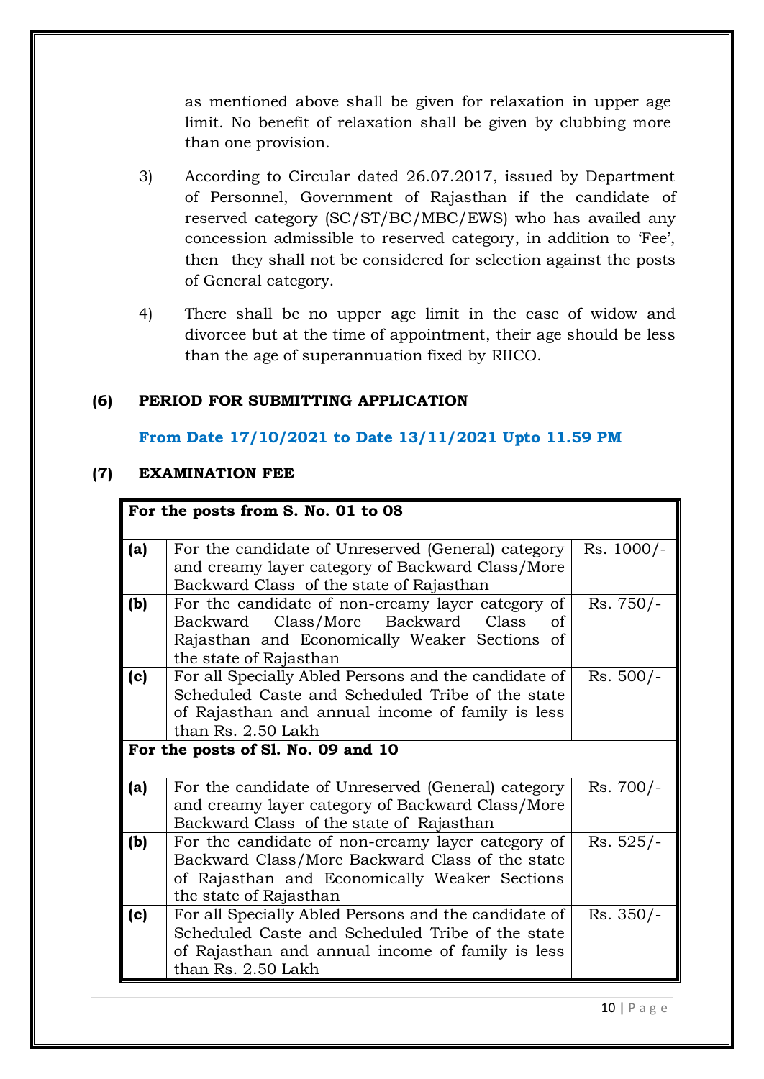as mentioned above shall be given for relaxation in upper age limit. No benefit of relaxation shall be given by clubbing more than one provision.

- 3) According to Circular dated 26.07.2017, issued by Department of Personnel, Government of Rajasthan if the candidate of reserved category (SC/ST/BC/MBC/EWS) who has availed any concession admissible to reserved category, in addition to "Fee", then they shall not be considered for selection against the posts of General category.
- 4) There shall be no upper age limit in the case of widow and divorcee but at the time of appointment, their age should be less than the age of superannuation fixed by RIICO.

### **(6) PERIOD FOR SUBMITTING APPLICATION**

### **From Date 17/10/2021 to Date 13/11/2021 Upto 11.59 PM**

### **(7) EXAMINATION FEE**

|     | For the posts from S. No. 01 to 08                                                                                                                                                                                       |             |
|-----|--------------------------------------------------------------------------------------------------------------------------------------------------------------------------------------------------------------------------|-------------|
| (a) | For the candidate of Unreserved (General) category<br>and creamy layer category of Backward Class/More<br>Backward Class of the state of Rajasthan                                                                       | Rs. 1000/-  |
| (b) | For the candidate of non-creamy layer category of<br>Backward Class/More Backward Class<br>of<br>Rajasthan and Economically Weaker Sections of<br>the state of Rajasthan                                                 | $Rs.750/-$  |
| (c) | For all Specially Abled Persons and the candidate of<br>Scheduled Caste and Scheduled Tribe of the state<br>of Rajasthan and annual income of family is less<br>than Rs. 2.50 Lakh<br>For the posts of Sl. No. 09 and 10 | $Rs. 500/-$ |
| (a) | For the candidate of Unreserved (General) category<br>and creamy layer category of Backward Class/More<br>Backward Class of the state of Rajasthan                                                                       | Rs. 700/-   |
| (b) | For the candidate of non-creamy layer category of<br>Backward Class/More Backward Class of the state<br>of Rajasthan and Economically Weaker Sections<br>the state of Rajasthan                                          | $Rs. 525/-$ |
| (c) | For all Specially Abled Persons and the candidate of<br>Scheduled Caste and Scheduled Tribe of the state<br>of Rajasthan and annual income of family is less<br>than Rs. 2.50 Lakh                                       | $Rs. 350/-$ |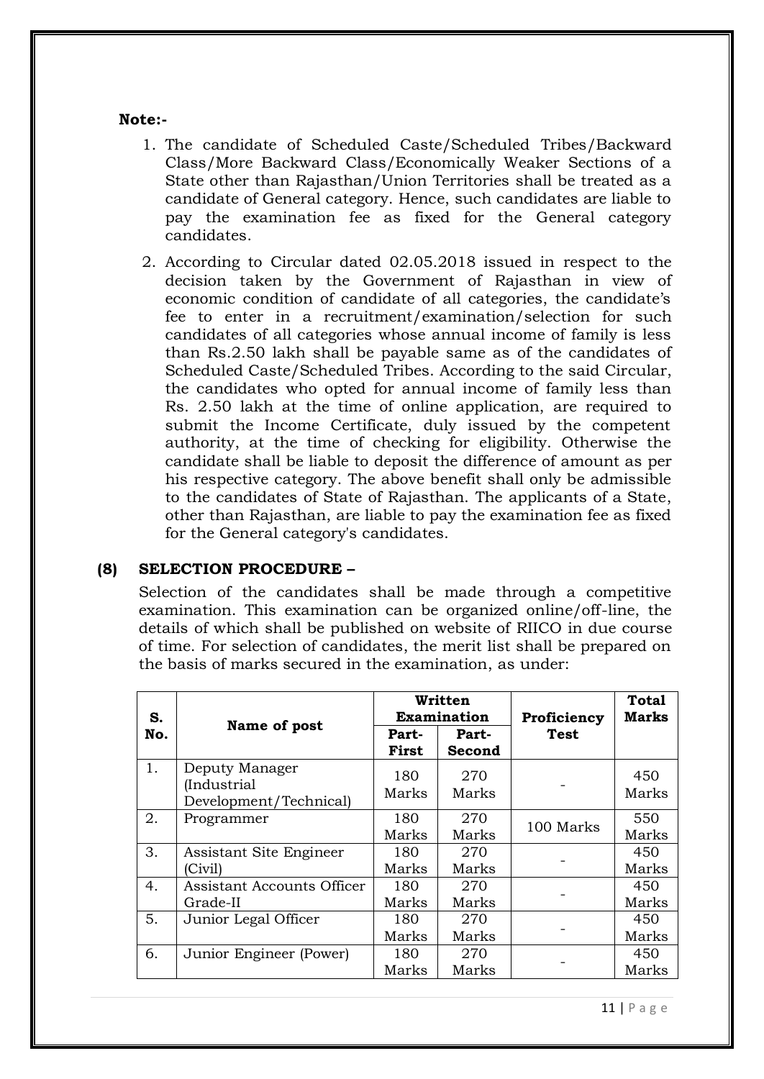### **Note:-**

- 1. The candidate of Scheduled Caste/Scheduled Tribes/Backward Class/More Backward Class/Economically Weaker Sections of a State other than Rajasthan/Union Territories shall be treated as a candidate of General category. Hence, such candidates are liable to pay the examination fee as fixed for the General category candidates.
- 2. According to Circular dated 02.05.2018 issued in respect to the decision taken by the Government of Rajasthan in view of economic condition of candidate of all categories, the candidate"s fee to enter in a recruitment/examination/selection for such candidates of all categories whose annual income of family is less than Rs.2.50 lakh shall be payable same as of the candidates of Scheduled Caste/Scheduled Tribes. According to the said Circular, the candidates who opted for annual income of family less than Rs. 2.50 lakh at the time of online application, are required to submit the Income Certificate, duly issued by the competent authority, at the time of checking for eligibility. Otherwise the candidate shall be liable to deposit the difference of amount as per his respective category. The above benefit shall only be admissible to the candidates of State of Rajasthan. The applicants of a State, other than Rajasthan, are liable to pay the examination fee as fixed for the General category's candidates.

### **(8) SELECTION PROCEDURE –**

Selection of the candidates shall be made through a competitive examination. This examination can be organized online/off-line, the details of which shall be published on website of RIICO in due course of time. For selection of candidates, the merit list shall be prepared on the basis of marks secured in the examination, as under:

| S.  |                                                         |                | Written<br><b>Examination</b> | Proficiency | <b>Total</b><br><b>Marks</b> |
|-----|---------------------------------------------------------|----------------|-------------------------------|-------------|------------------------------|
| No. | Name of post                                            | Part-<br>First | Part-<br>Second               | Test        |                              |
| 1.  | Deputy Manager<br>(Industrial<br>Development/Technical) | 180<br>Marks   | 270<br>Marks                  |             | 450<br>Marks                 |
| 2.  | Programmer                                              | 180<br>Marks   | 270<br>Marks                  | 100 Marks   | 550<br>Marks                 |
| 3.  | Assistant Site Engineer<br>(Civil)                      | 180<br>Marks   | 270<br>Marks                  |             | 450<br>Marks                 |
| 4.  | Assistant Accounts Officer<br>Grade-II                  | 180.<br>Marks  | 270<br>Marks                  |             | 450<br>Marks                 |
| 5.  | Junior Legal Officer                                    | 180<br>Marks   | 270<br>Marks                  |             | 450<br>Marks                 |
| 6.  | Junior Engineer (Power)                                 | 180<br>Marks   | 270<br>Marks                  |             | 450<br>Marks                 |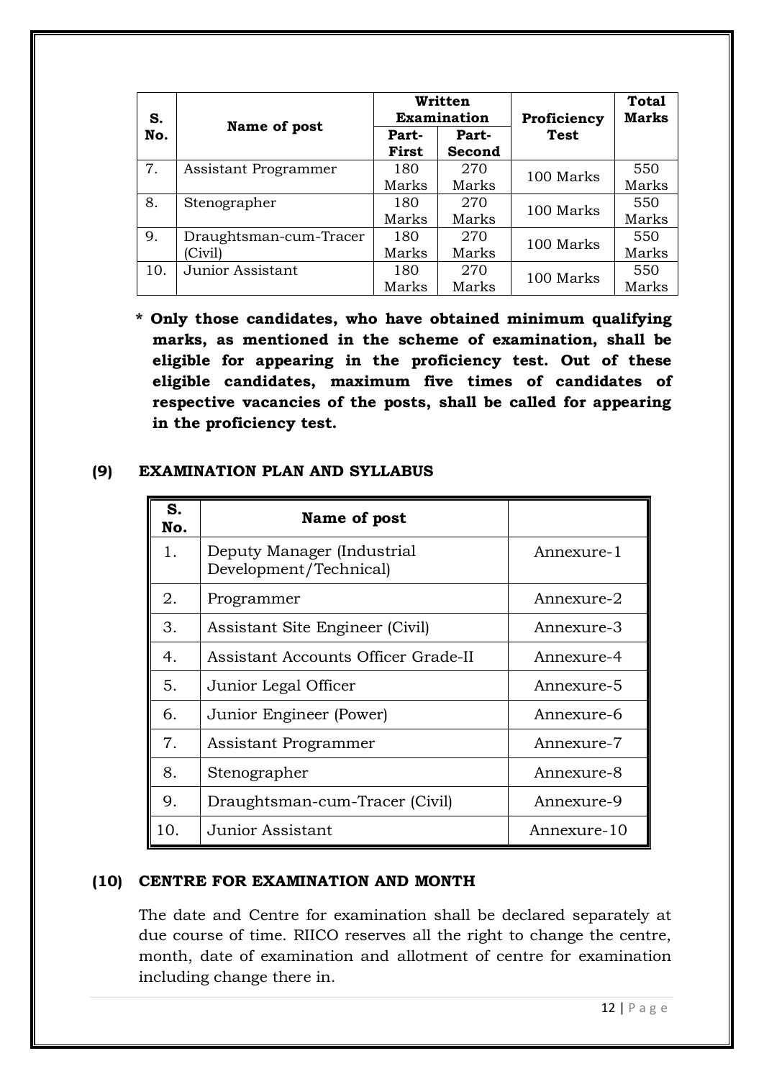| S.  |                                   |                | Written<br><b>Examination</b> | Proficiency | <b>Total</b><br><b>Marks</b> |
|-----|-----------------------------------|----------------|-------------------------------|-------------|------------------------------|
| No. | Name of post                      | Part-<br>First | Part-<br>Second               | <b>Test</b> |                              |
| 7.  | Assistant Programmer              | 180<br>Marks   | 270<br>Marks                  | 100 Marks   | 550<br>Marks                 |
| 8.  | Stenographer                      | 180<br>Marks   | 270<br>Marks                  | 100 Marks   | 550<br>Marks                 |
| 9.  | Draughtsman-cum-Tracer<br>(Civil) | 180<br>Marks   | 270<br>Marks                  | 100 Marks   | 550<br>Marks                 |
| 10. | Junior Assistant                  | 180<br>Marks   | 270<br>Marks                  | 100 Marks   | 550<br>Marks                 |

**\* Only those candidates, who have obtained minimum qualifying marks, as mentioned in the scheme of examination, shall be eligible for appearing in the proficiency test. Out of these eligible candidates, maximum five times of candidates of respective vacancies of the posts, shall be called for appearing in the proficiency test.** 

## **(9) EXAMINATION PLAN AND SYLLABUS**

| S.<br>No. | Name of post                                         |             |
|-----------|------------------------------------------------------|-------------|
| 1.        | Deputy Manager (Industrial<br>Development/Technical) | Annexure-1  |
| 2.        | Programmer                                           | Annexure-2  |
| 3.        | Assistant Site Engineer (Civil)                      | Annexure-3  |
| 4.        | Assistant Accounts Officer Grade-II                  | Annexure-4  |
| 5.        | Junior Legal Officer                                 | Annexure-5  |
| 6.        | Junior Engineer (Power)                              | Annexure-6  |
| 7.        | Assistant Programmer                                 | Annexure-7  |
| 8.        | Stenographer                                         | Annexure-8  |
| 9.        | Draughtsman-cum-Tracer (Civil)                       | Annexure-9  |
| 10.       | Junior Assistant                                     | Annexure-10 |

## **(10) CENTRE FOR EXAMINATION AND MONTH**

The date and Centre for examination shall be declared separately at due course of time. RIICO reserves all the right to change the centre, month, date of examination and allotment of centre for examination including change there in.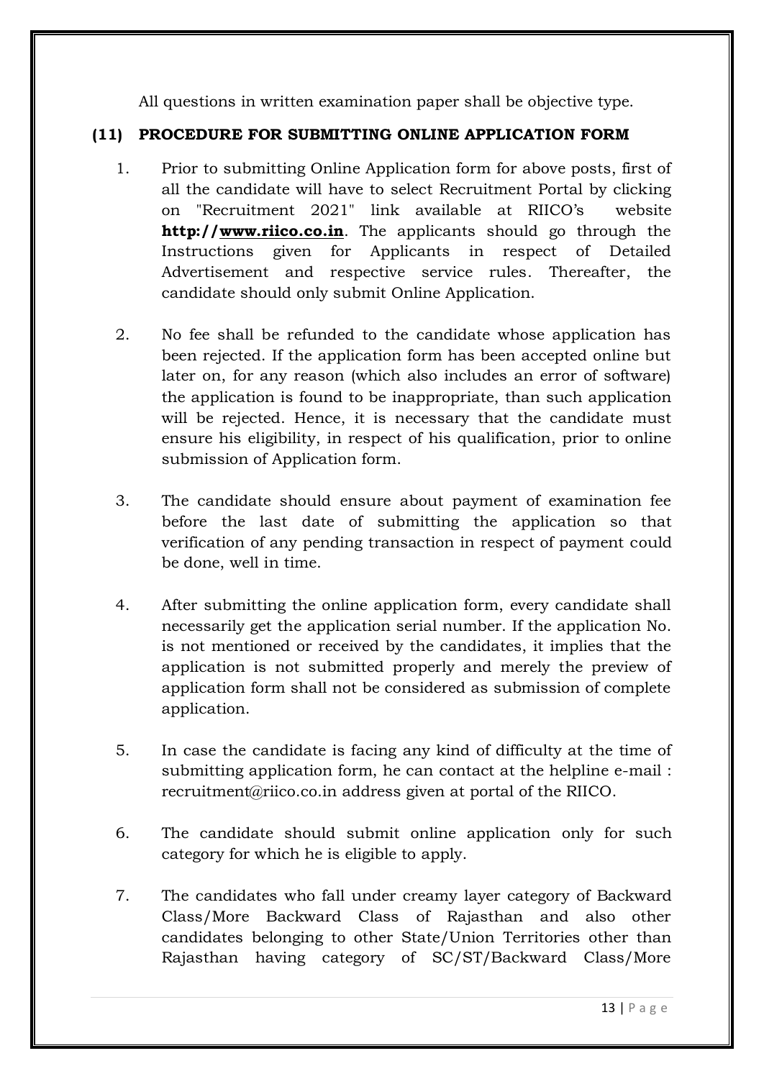All questions in written examination paper shall be objective type.

# **(11) PROCEDURE FOR SUBMITTING ONLINE APPLICATION FORM**

- 1. Prior to submitting Online Application form for above posts, first of all the candidate will have to select Recruitment Portal by clicking on "Recruitment 2021" link available at RIICO"s website **http:/[/www.riico.co.in](http://www.industries.rajasthan.gov.in/riico)**. The applicants should go through the Instructions given for Applicants in respect of Detailed Advertisement and respective service rules. Thereafter, the candidate should only submit Online Application.
- 2. No fee shall be refunded to the candidate whose application has been rejected. If the application form has been accepted online but later on, for any reason (which also includes an error of software) the application is found to be inappropriate, than such application will be rejected. Hence, it is necessary that the candidate must ensure his eligibility, in respect of his qualification, prior to online submission of Application form.
- 3. The candidate should ensure about payment of examination fee before the last date of submitting the application so that verification of any pending transaction in respect of payment could be done, well in time.
- 4. After submitting the online application form, every candidate shall necessarily get the application serial number. If the application No. is not mentioned or received by the candidates, it implies that the application is not submitted properly and merely the preview of application form shall not be considered as submission of complete application.
- 5. In case the candidate is facing any kind of difficulty at the time of submitting application form, he can contact at the helpline e-mail : recruitment@riico.co.in address given at portal of the RIICO.
- 6. The candidate should submit online application only for such category for which he is eligible to apply.
- 7. The candidates who fall under creamy layer category of Backward Class/More Backward Class of Rajasthan and also other candidates belonging to other State/Union Territories other than Rajasthan having category of SC/ST/Backward Class/More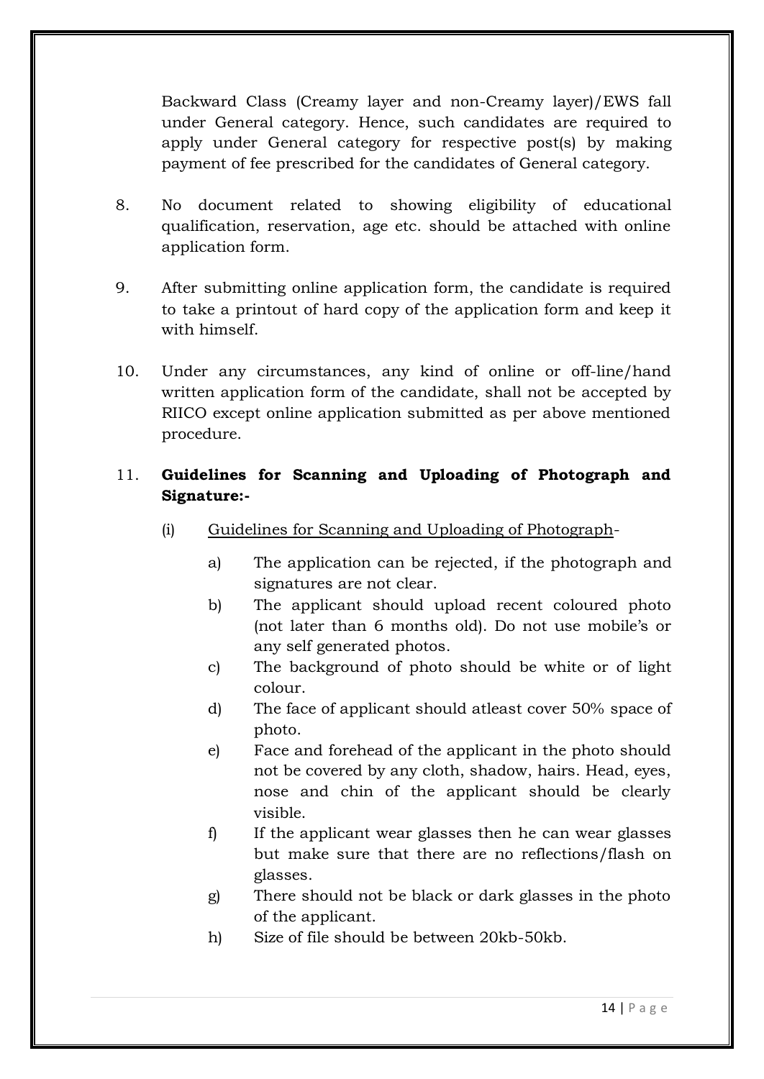Backward Class (Creamy layer and non-Creamy layer)/EWS fall under General category. Hence, such candidates are required to apply under General category for respective post(s) by making payment of fee prescribed for the candidates of General category.

- 8. No document related to showing eligibility of educational qualification, reservation, age etc. should be attached with online application form.
- 9. After submitting online application form, the candidate is required to take a printout of hard copy of the application form and keep it with himself.
- 10. Under any circumstances, any kind of online or off-line/hand written application form of the candidate, shall not be accepted by RIICO except online application submitted as per above mentioned procedure.

# 11. **Guidelines for Scanning and Uploading of Photograph and Signature:-**

- (i) Guidelines for Scanning and Uploading of Photograph
	- a) The application can be rejected, if the photograph and signatures are not clear.
	- b) The applicant should upload recent coloured photo (not later than 6 months old). Do not use mobile"s or any self generated photos.
	- c) The background of photo should be white or of light colour.
	- d) The face of applicant should atleast cover 50% space of photo.
	- e) Face and forehead of the applicant in the photo should not be covered by any cloth, shadow, hairs. Head, eyes, nose and chin of the applicant should be clearly visible.
	- f) If the applicant wear glasses then he can wear glasses but make sure that there are no reflections/flash on glasses.
	- g) There should not be black or dark glasses in the photo of the applicant.
	- h) Size of file should be between 20kb-50kb.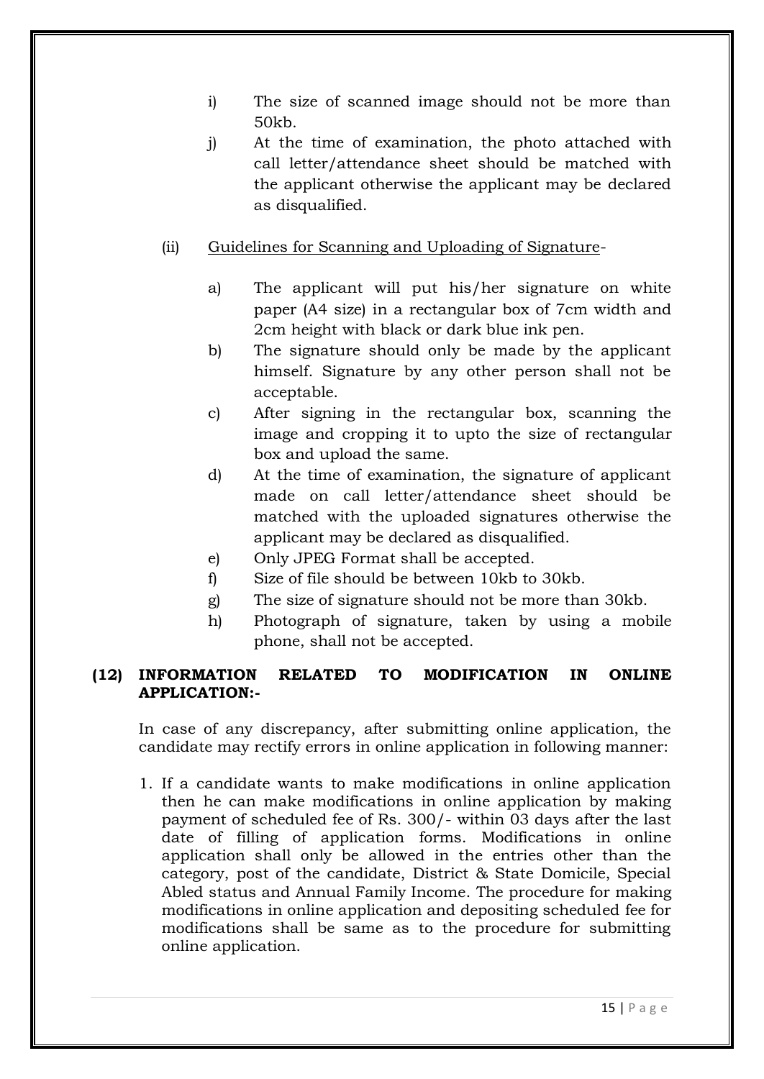- i) The size of scanned image should not be more than 50kb.
- j) At the time of examination, the photo attached with call letter/attendance sheet should be matched with the applicant otherwise the applicant may be declared as disqualified.
- (ii) Guidelines for Scanning and Uploading of Signature
	- a) The applicant will put his/her signature on white paper (A4 size) in a rectangular box of 7cm width and 2cm height with black or dark blue ink pen.
	- b) The signature should only be made by the applicant himself. Signature by any other person shall not be acceptable.
	- c) After signing in the rectangular box, scanning the image and cropping it to upto the size of rectangular box and upload the same.
	- d) At the time of examination, the signature of applicant made on call letter/attendance sheet should be matched with the uploaded signatures otherwise the applicant may be declared as disqualified.
	- e) Only JPEG Format shall be accepted.
	- f) Size of file should be between 10kb to 30kb.
	- g) The size of signature should not be more than 30kb.
	- h) Photograph of signature, taken by using a mobile phone, shall not be accepted.

## **(12) INFORMATION RELATED TO MODIFICATION IN ONLINE APPLICATION:-**

In case of any discrepancy, after submitting online application, the candidate may rectify errors in online application in following manner:

1. If a candidate wants to make modifications in online application then he can make modifications in online application by making payment of scheduled fee of Rs. 300/- within 03 days after the last date of filling of application forms. Modifications in online application shall only be allowed in the entries other than the category, post of the candidate, District & State Domicile, Special Abled status and Annual Family Income. The procedure for making modifications in online application and depositing scheduled fee for modifications shall be same as to the procedure for submitting online application.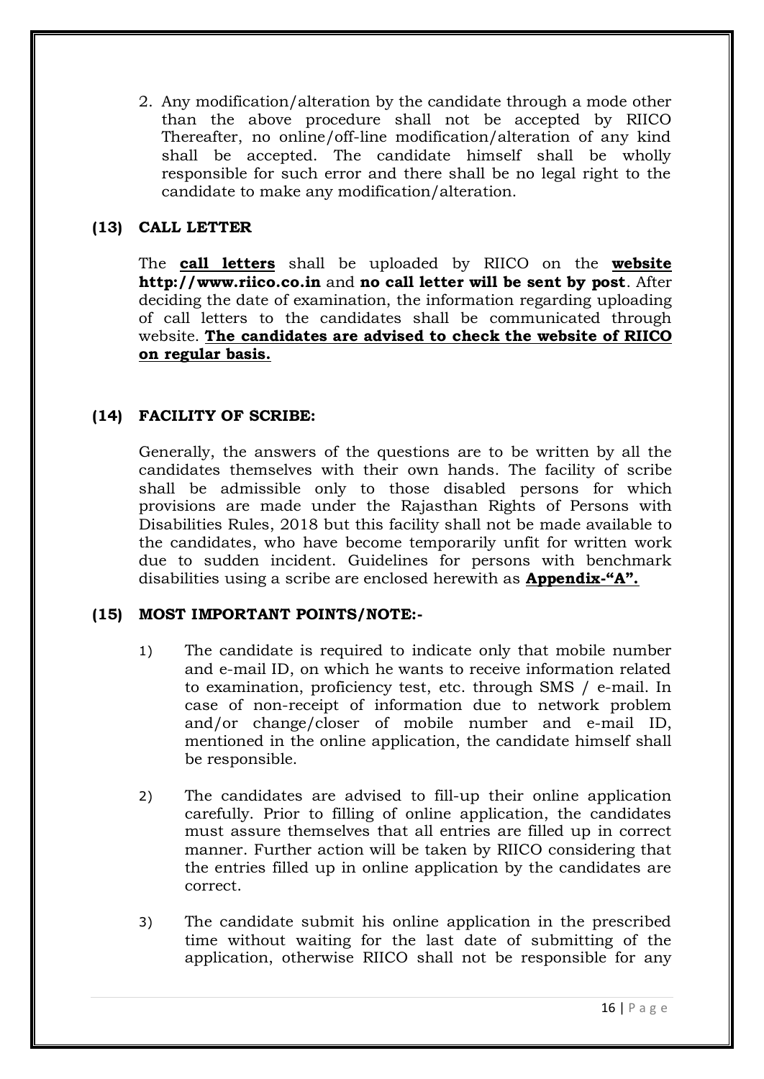2. Any modification/alteration by the candidate through a mode other than the above procedure shall not be accepted by RIICO Thereafter, no online/off-line modification/alteration of any kind shall be accepted. The candidate himself shall be wholly responsible for such error and there shall be no legal right to the candidate to make any modification/alteration.

# **(13) CALL LETTER**

The **call letters** shall be uploaded by RIICO on the **website http://www.riico.co.in** and **no call letter will be sent by post**. After deciding the date of examination, the information regarding uploading of call letters to the candidates shall be communicated through website. **The candidates are advised to check the website of RIICO on regular basis.**

## **(14) FACILITY OF SCRIBE:**

Generally, the answers of the questions are to be written by all the candidates themselves with their own hands. The facility of scribe shall be admissible only to those disabled persons for which provisions are made under the Rajasthan Rights of Persons with Disabilities Rules, 2018 but this facility shall not be made available to the candidates, who have become temporarily unfit for written work due to sudden incident. Guidelines for persons with benchmark disabilities using a scribe are enclosed herewith as **Appendix-"A".**

## **(15) MOST IMPORTANT POINTS/NOTE:-**

- 1) The candidate is required to indicate only that mobile number and e-mail ID, on which he wants to receive information related to examination, proficiency test, etc. through SMS / e-mail. In case of non-receipt of information due to network problem and/or change/closer of mobile number and e-mail ID, mentioned in the online application, the candidate himself shall be responsible.
- 2) The candidates are advised to fill-up their online application carefully. Prior to filling of online application, the candidates must assure themselves that all entries are filled up in correct manner. Further action will be taken by RIICO considering that the entries filled up in online application by the candidates are correct.
- 3) The candidate submit his online application in the prescribed time without waiting for the last date of submitting of the application, otherwise RIICO shall not be responsible for any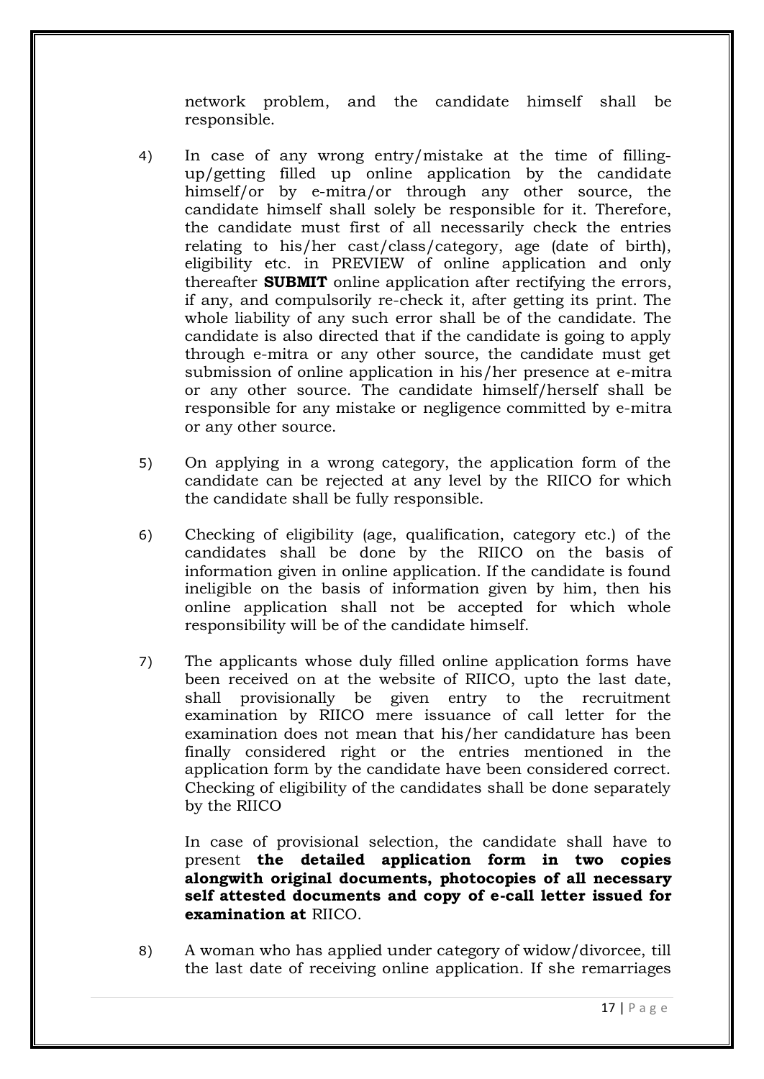network problem, and the candidate himself shall be responsible.

- 4) In case of any wrong entry/mistake at the time of fillingup/getting filled up online application by the candidate himself/or by e-mitra/or through any other source, the candidate himself shall solely be responsible for it. Therefore, the candidate must first of all necessarily check the entries relating to his/her cast/class/category, age (date of birth), eligibility etc. in PREVIEW of online application and only thereafter **SUBMIT** online application after rectifying the errors, if any, and compulsorily re-check it, after getting its print. The whole liability of any such error shall be of the candidate. The candidate is also directed that if the candidate is going to apply through e-mitra or any other source, the candidate must get submission of online application in his/her presence at e-mitra or any other source. The candidate himself/herself shall be responsible for any mistake or negligence committed by e-mitra or any other source.
- 5) On applying in a wrong category, the application form of the candidate can be rejected at any level by the RIICO for which the candidate shall be fully responsible.
- 6) Checking of eligibility (age, qualification, category etc.) of the candidates shall be done by the RIICO on the basis of information given in online application. If the candidate is found ineligible on the basis of information given by him, then his online application shall not be accepted for which whole responsibility will be of the candidate himself.
- 7) The applicants whose duly filled online application forms have been received on at the website of RIICO, upto the last date, shall provisionally be given entry to the recruitment examination by RIICO mere issuance of call letter for the examination does not mean that his/her candidature has been finally considered right or the entries mentioned in the application form by the candidate have been considered correct. Checking of eligibility of the candidates shall be done separately by the RIICO

In case of provisional selection, the candidate shall have to present **the detailed application form in two copies alongwith original documents, photocopies of all necessary self attested documents and copy of e-call letter issued for examination at** RIICO.

8) A woman who has applied under category of widow/divorcee, till the last date of receiving online application. If she remarriages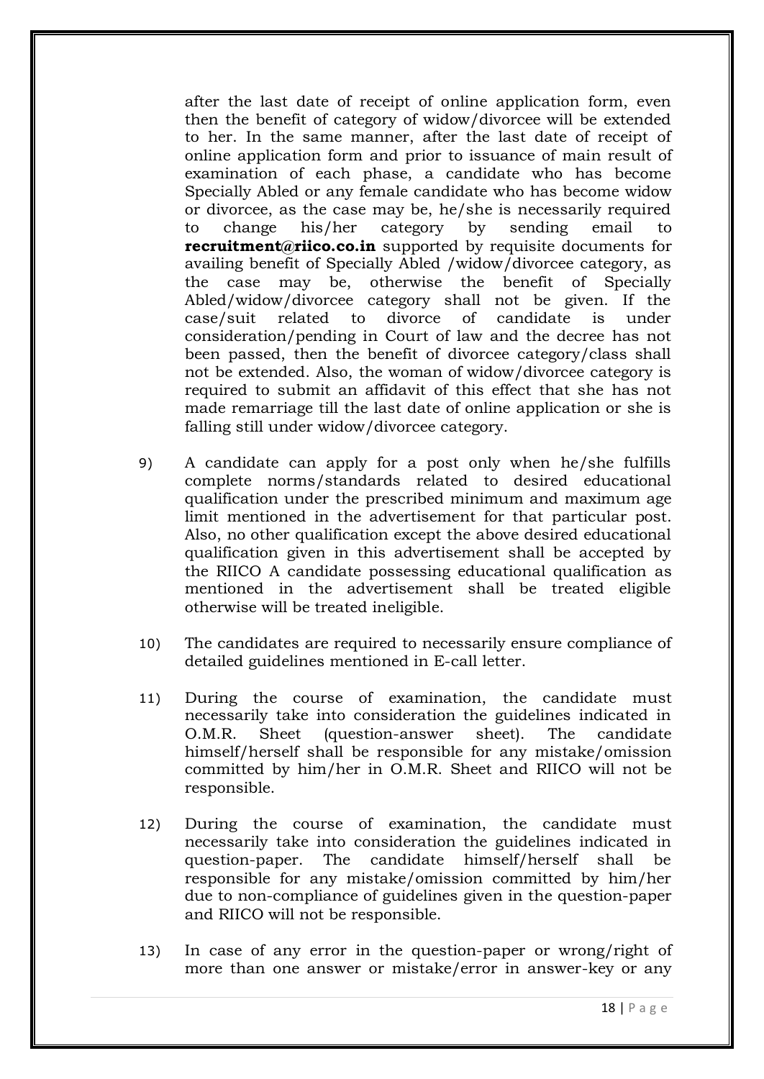after the last date of receipt of online application form, even then the benefit of category of widow/divorcee will be extended to her. In the same manner, after the last date of receipt of online application form and prior to issuance of main result of examination of each phase, a candidate who has become Specially Abled or any female candidate who has become widow or divorcee, as the case may be, he/she is necessarily required to change his/her category by sending email to **recruitment@riico.co.in** supported by requisite documents for availing benefit of Specially Abled /widow/divorcee category, as the case may be, otherwise the benefit of Specially Abled/widow/divorcee category shall not be given. If the case/suit related to divorce of candidate is under consideration/pending in Court of law and the decree has not been passed, then the benefit of divorcee category/class shall not be extended. Also, the woman of widow/divorcee category is required to submit an affidavit of this effect that she has not made remarriage till the last date of online application or she is falling still under widow/divorcee category.

- 9) A candidate can apply for a post only when he/she fulfills complete norms/standards related to desired educational qualification under the prescribed minimum and maximum age limit mentioned in the advertisement for that particular post. Also, no other qualification except the above desired educational qualification given in this advertisement shall be accepted by the RIICO A candidate possessing educational qualification as mentioned in the advertisement shall be treated eligible otherwise will be treated ineligible.
- 10) The candidates are required to necessarily ensure compliance of detailed guidelines mentioned in E-call letter.
- 11) During the course of examination, the candidate must necessarily take into consideration the guidelines indicated in O.M.R. Sheet (question-answer sheet). The candidate himself/herself shall be responsible for any mistake/omission committed by him/her in O.M.R. Sheet and RIICO will not be responsible.
- 12) During the course of examination, the candidate must necessarily take into consideration the guidelines indicated in question-paper. The candidate himself/herself shall be responsible for any mistake/omission committed by him/her due to non-compliance of guidelines given in the question-paper and RIICO will not be responsible.
- 13) In case of any error in the question-paper or wrong/right of more than one answer or mistake/error in answer-key or any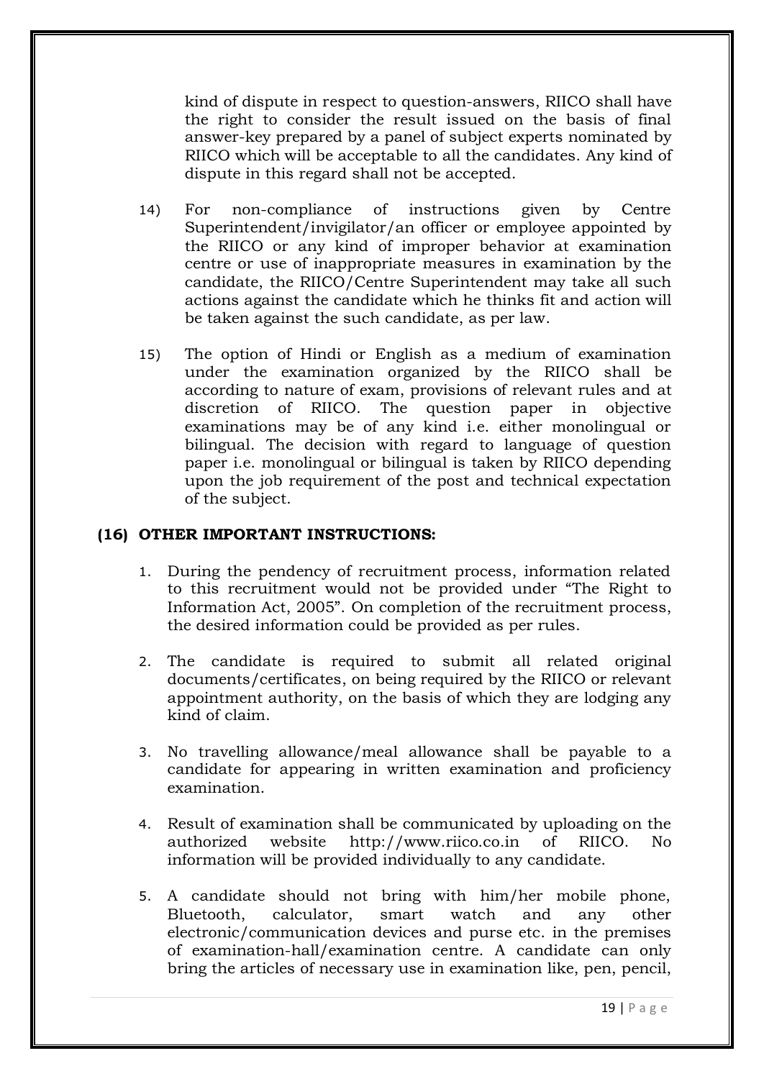kind of dispute in respect to question-answers, RIICO shall have the right to consider the result issued on the basis of final answer-key prepared by a panel of subject experts nominated by RIICO which will be acceptable to all the candidates. Any kind of dispute in this regard shall not be accepted.

- 14) For non-compliance of instructions given by Centre Superintendent/invigilator/an officer or employee appointed by the RIICO or any kind of improper behavior at examination centre or use of inappropriate measures in examination by the candidate, the RIICO/Centre Superintendent may take all such actions against the candidate which he thinks fit and action will be taken against the such candidate, as per law.
- 15) The option of Hindi or English as a medium of examination under the examination organized by the RIICO shall be according to nature of exam, provisions of relevant rules and at discretion of RIICO. The question paper in objective examinations may be of any kind i.e. either monolingual or bilingual. The decision with regard to language of question paper i.e. monolingual or bilingual is taken by RIICO depending upon the job requirement of the post and technical expectation of the subject.

## **(16) OTHER IMPORTANT INSTRUCTIONS:**

- 1. During the pendency of recruitment process, information related to this recruitment would not be provided under "The Right to Information Act, 2005". On completion of the recruitment process, the desired information could be provided as per rules.
- 2. The candidate is required to submit all related original documents/certificates, on being required by the RIICO or relevant appointment authority, on the basis of which they are lodging any kind of claim.
- 3. No travelling allowance/meal allowance shall be payable to a candidate for appearing in written examination and proficiency examination.
- 4. Result of examination shall be communicated by uploading on the authorized website http://www.riico.co.in of RIICO. No information will be provided individually to any candidate.
- 5. A candidate should not bring with him/her mobile phone, Bluetooth, calculator, smart watch and any other electronic/communication devices and purse etc. in the premises of examination-hall/examination centre. A candidate can only bring the articles of necessary use in examination like, pen, pencil,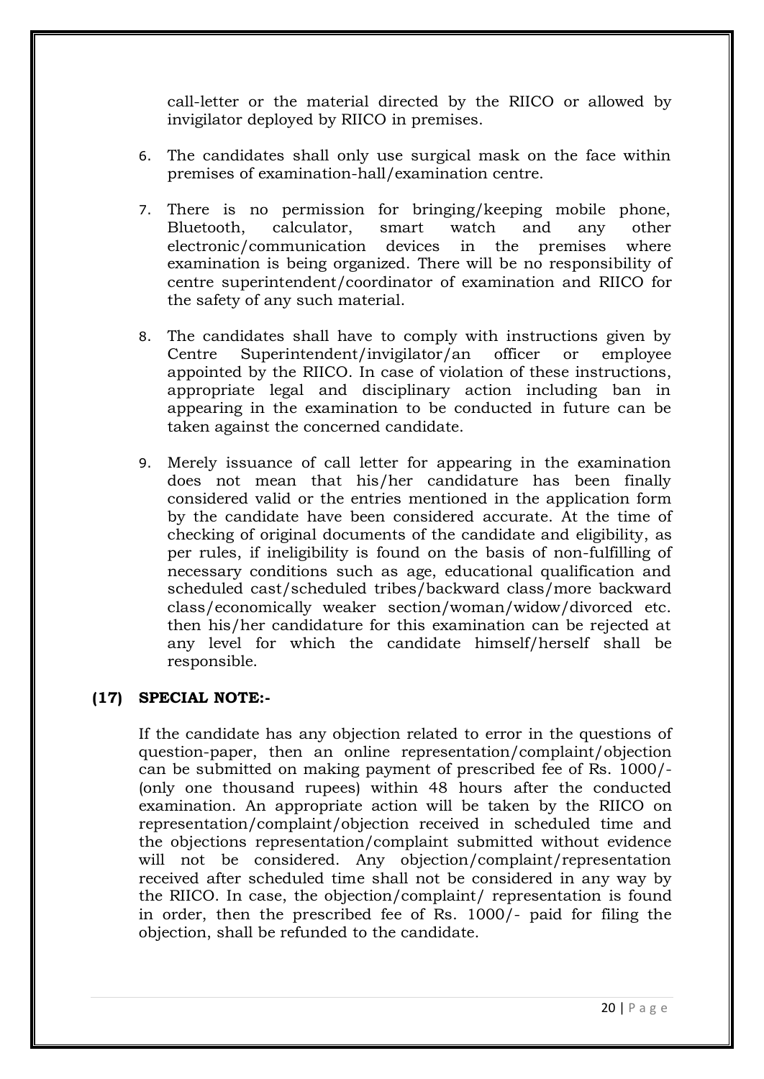call-letter or the material directed by the RIICO or allowed by invigilator deployed by RIICO in premises.

- 6. The candidates shall only use surgical mask on the face within premises of examination-hall/examination centre.
- 7. There is no permission for bringing/keeping mobile phone, Bluetooth, calculator, smart watch and any other electronic/communication devices in the premises where examination is being organized. There will be no responsibility of centre superintendent/coordinator of examination and RIICO for the safety of any such material.
- 8. The candidates shall have to comply with instructions given by Centre Superintendent/invigilator/an officer or employee appointed by the RIICO. In case of violation of these instructions, appropriate legal and disciplinary action including ban in appearing in the examination to be conducted in future can be taken against the concerned candidate.
- 9. Merely issuance of call letter for appearing in the examination does not mean that his/her candidature has been finally considered valid or the entries mentioned in the application form by the candidate have been considered accurate. At the time of checking of original documents of the candidate and eligibility, as per rules, if ineligibility is found on the basis of non-fulfilling of necessary conditions such as age, educational qualification and scheduled cast/scheduled tribes/backward class/more backward class/economically weaker section/woman/widow/divorced etc. then his/her candidature for this examination can be rejected at any level for which the candidate himself/herself shall be responsible.

## **(17) SPECIAL NOTE:-**

If the candidate has any objection related to error in the questions of question-paper, then an online representation/complaint/objection can be submitted on making payment of prescribed fee of Rs. 1000/- (only one thousand rupees) within 48 hours after the conducted examination. An appropriate action will be taken by the RIICO on representation/complaint/objection received in scheduled time and the objections representation/complaint submitted without evidence will not be considered. Any objection/complaint/representation received after scheduled time shall not be considered in any way by the RIICO. In case, the objection/complaint/ representation is found in order, then the prescribed fee of Rs. 1000/- paid for filing the objection, shall be refunded to the candidate.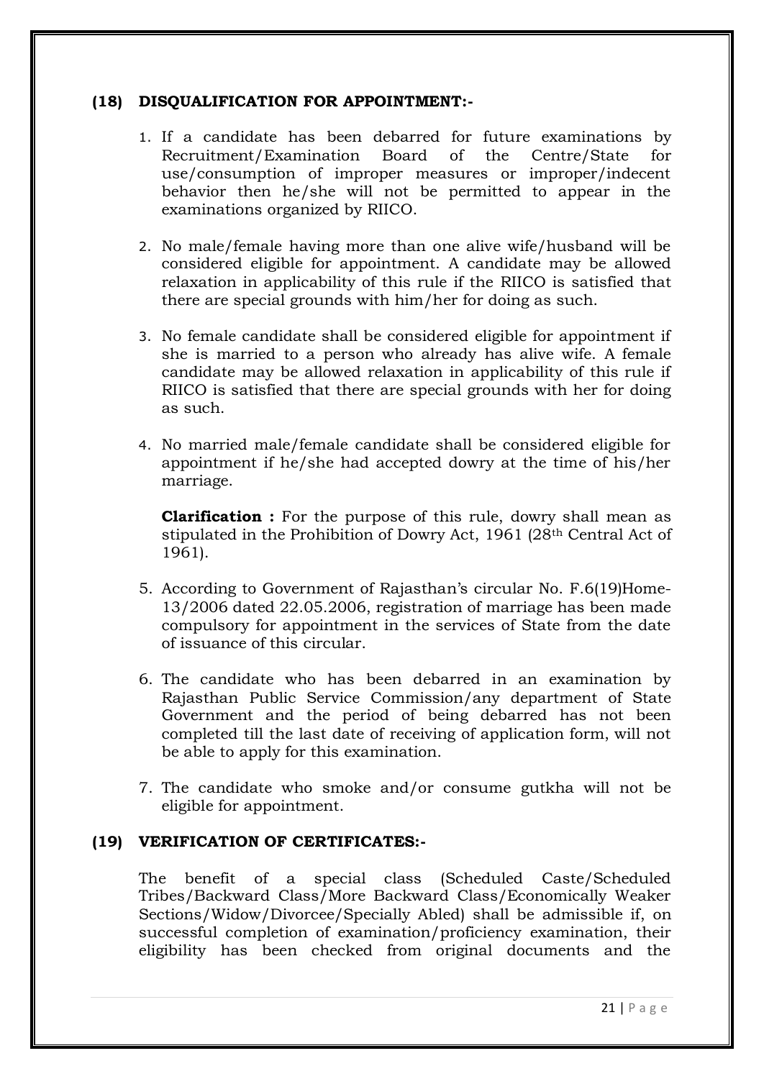## **(18) DISQUALIFICATION FOR APPOINTMENT:-**

- 1. If a candidate has been debarred for future examinations by Recruitment/Examination Board of the Centre/State for use/consumption of improper measures or improper/indecent behavior then he/she will not be permitted to appear in the examinations organized by RIICO.
- 2. No male/female having more than one alive wife/husband will be considered eligible for appointment. A candidate may be allowed relaxation in applicability of this rule if the RIICO is satisfied that there are special grounds with him/her for doing as such.
- 3. No female candidate shall be considered eligible for appointment if she is married to a person who already has alive wife. A female candidate may be allowed relaxation in applicability of this rule if RIICO is satisfied that there are special grounds with her for doing as such.
- 4. No married male/female candidate shall be considered eligible for appointment if he/she had accepted dowry at the time of his/her marriage.

**Clarification :** For the purpose of this rule, dowry shall mean as stipulated in the Prohibition of Dowry Act, 1961 (28th Central Act of 1961).

- 5. According to Government of Rajasthan"s circular No. F.6(19)Home-13/2006 dated 22.05.2006, registration of marriage has been made compulsory for appointment in the services of State from the date of issuance of this circular.
- 6. The candidate who has been debarred in an examination by Rajasthan Public Service Commission/any department of State Government and the period of being debarred has not been completed till the last date of receiving of application form, will not be able to apply for this examination.
- 7. The candidate who smoke and/or consume gutkha will not be eligible for appointment.

## **(19) VERIFICATION OF CERTIFICATES:-**

The benefit of a special class (Scheduled Caste/Scheduled Tribes/Backward Class/More Backward Class/Economically Weaker Sections/Widow/Divorcee/Specially Abled) shall be admissible if, on successful completion of examination/proficiency examination, their eligibility has been checked from original documents and the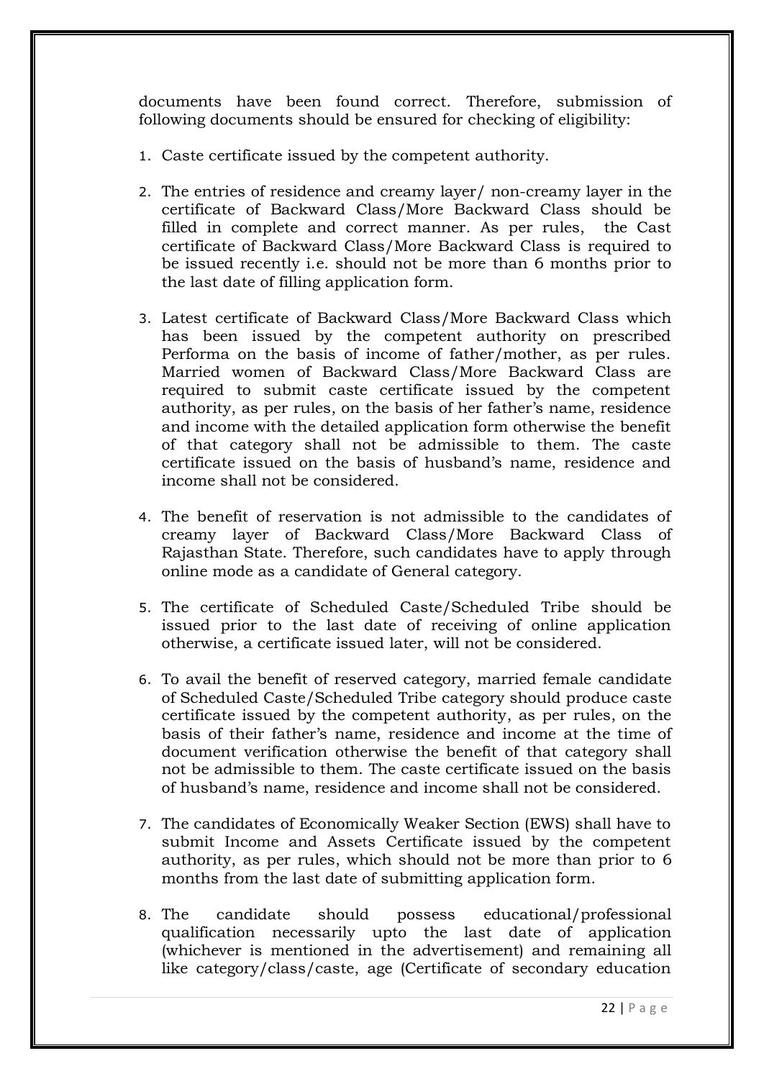documents have been found correct. Therefore, submission of following documents should be ensured for checking of eligibility:

- 1. Caste certificate issued by the competent authority.
- 2. The entries of residence and creamy layer/ non-creamy layer in the certificate of Backward Class/More Backward Class should be filled in complete and correct manner. As per rules, the Cast certificate of Backward Class/More Backward Class is required to be issued recently i.e. should not be more than 6 months prior to the last date of filling application form.
- 3. Latest certificate of Backward Class/More Backward Class which has been issued by the competent authority on prescribed Performa on the basis of income of father/mother, as per rules. Married women of Backward Class/More Backward Class are required to submit caste certificate issued by the competent authority, as per rules, on the basis of her father"s name, residence and income with the detailed application form otherwise the benefit of that category shall not be admissible to them. The caste certificate issued on the basis of husband"s name, residence and income shall not be considered.
- 4. The benefit of reservation is not admissible to the candidates of creamy layer of Backward Class/More Backward Class of Rajasthan State. Therefore, such candidates have to apply through online mode as a candidate of General category.
- 5. The certificate of Scheduled Caste/Scheduled Tribe should be issued prior to the last date of receiving of online application otherwise, a certificate issued later, will not be considered.
- 6. To avail the benefit of reserved category, married female candidate of Scheduled Caste/Scheduled Tribe category should produce caste certificate issued by the competent authority, as per rules, on the basis of their father"s name, residence and income at the time of document verification otherwise the benefit of that category shall not be admissible to them. The caste certificate issued on the basis of husband"s name, residence and income shall not be considered.
- 7. The candidates of Economically Weaker Section (EWS) shall have to submit Income and Assets Certificate issued by the competent authority, as per rules, which should not be more than prior to 6 months from the last date of submitting application form.
- 8. The candidate should possess educational/professional qualification necessarily upto the last date of application (whichever is mentioned in the advertisement) and remaining all like category/class/caste, age (Certificate of secondary education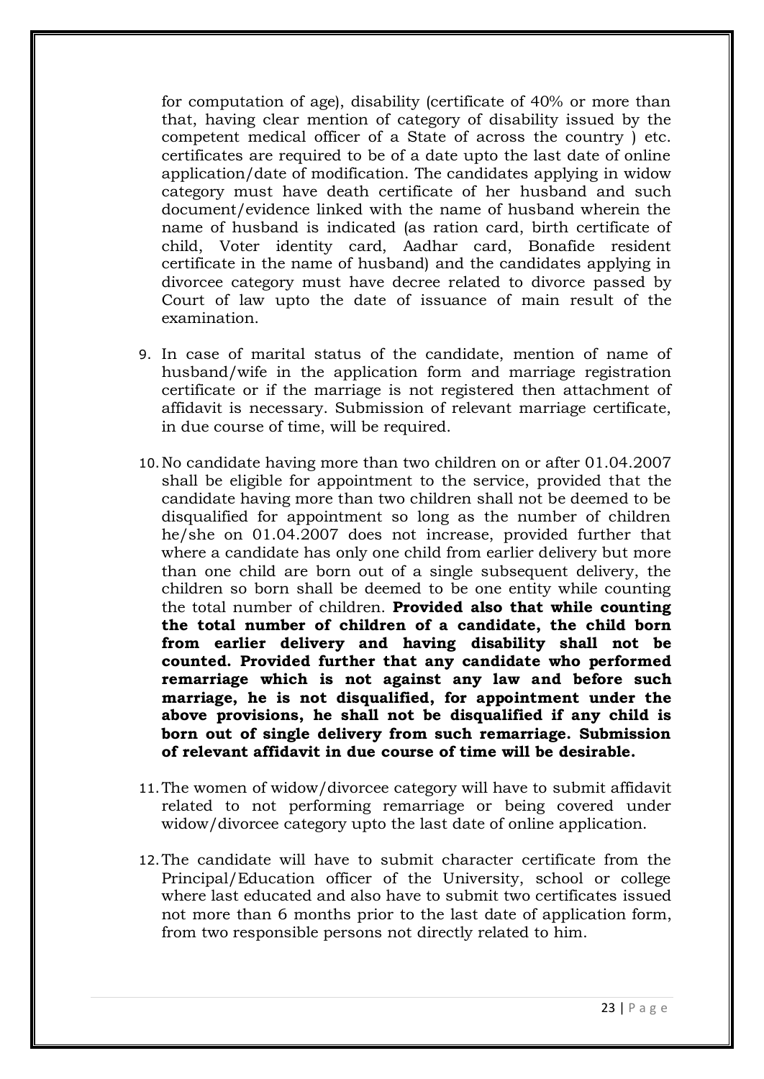for computation of age), disability (certificate of 40% or more than that, having clear mention of category of disability issued by the competent medical officer of a State of across the country ) etc. certificates are required to be of a date upto the last date of online application/date of modification. The candidates applying in widow category must have death certificate of her husband and such document/evidence linked with the name of husband wherein the name of husband is indicated (as ration card, birth certificate of child, Voter identity card, Aadhar card, Bonafide resident certificate in the name of husband) and the candidates applying in divorcee category must have decree related to divorce passed by Court of law upto the date of issuance of main result of the examination.

- 9. In case of marital status of the candidate, mention of name of husband/wife in the application form and marriage registration certificate or if the marriage is not registered then attachment of affidavit is necessary. Submission of relevant marriage certificate, in due course of time, will be required.
- 10.No candidate having more than two children on or after 01.04.2007 shall be eligible for appointment to the service, provided that the candidate having more than two children shall not be deemed to be disqualified for appointment so long as the number of children he/she on 01.04.2007 does not increase, provided further that where a candidate has only one child from earlier delivery but more than one child are born out of a single subsequent delivery, the children so born shall be deemed to be one entity while counting the total number of children. **Provided also that while counting the total number of children of a candidate, the child born from earlier delivery and having disability shall not be counted. Provided further that any candidate who performed remarriage which is not against any law and before such marriage, he is not disqualified, for appointment under the above provisions, he shall not be disqualified if any child is born out of single delivery from such remarriage. Submission of relevant affidavit in due course of time will be desirable.**
- 11.The women of widow/divorcee category will have to submit affidavit related to not performing remarriage or being covered under widow/divorcee category upto the last date of online application.
- 12.The candidate will have to submit character certificate from the Principal/Education officer of the University, school or college where last educated and also have to submit two certificates issued not more than 6 months prior to the last date of application form, from two responsible persons not directly related to him.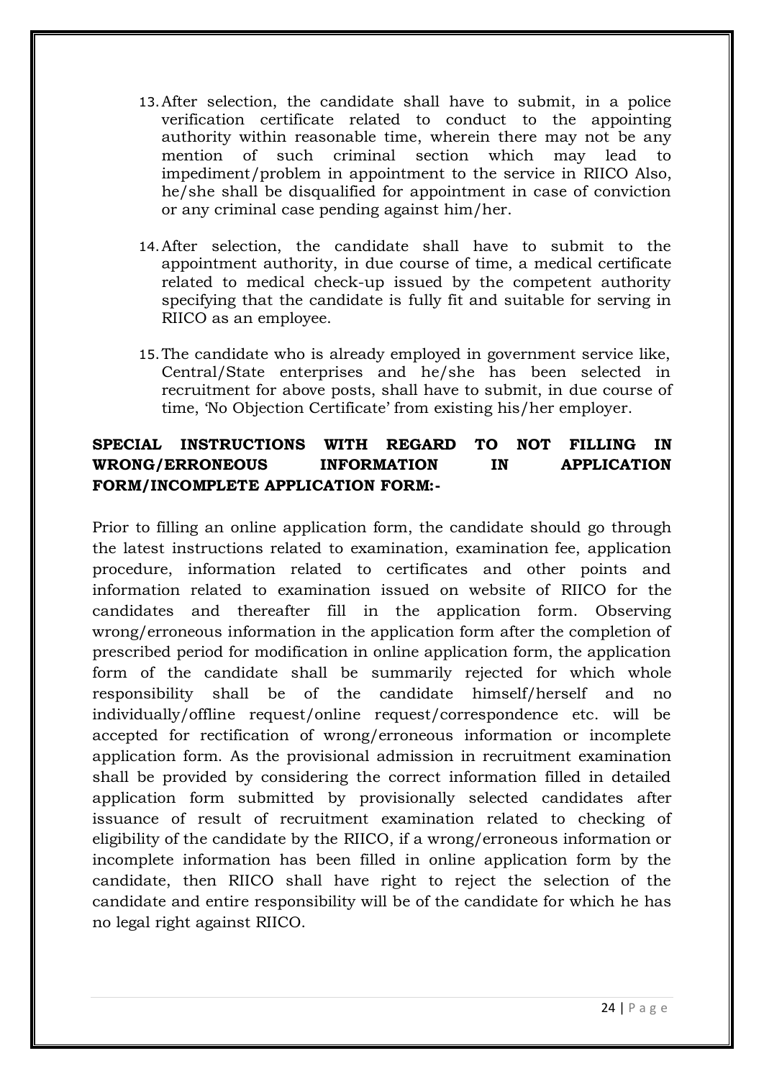- 13.After selection, the candidate shall have to submit, in a police verification certificate related to conduct to the appointing authority within reasonable time, wherein there may not be any mention of such criminal section which may lead to impediment/problem in appointment to the service in RIICO Also, he/she shall be disqualified for appointment in case of conviction or any criminal case pending against him/her.
- 14.After selection, the candidate shall have to submit to the appointment authority, in due course of time, a medical certificate related to medical check-up issued by the competent authority specifying that the candidate is fully fit and suitable for serving in RIICO as an employee.
- 15.The candidate who is already employed in government service like, Central/State enterprises and he/she has been selected in recruitment for above posts, shall have to submit, in due course of time, "No Objection Certificate" from existing his/her employer.

# **SPECIAL INSTRUCTIONS WITH REGARD TO NOT FILLING IN WRONG/ERRONEOUS INFORMATION IN APPLICATION FORM/INCOMPLETE APPLICATION FORM:-**

Prior to filling an online application form, the candidate should go through the latest instructions related to examination, examination fee, application procedure, information related to certificates and other points and information related to examination issued on website of RIICO for the candidates and thereafter fill in the application form. Observing wrong/erroneous information in the application form after the completion of prescribed period for modification in online application form, the application form of the candidate shall be summarily rejected for which whole responsibility shall be of the candidate himself/herself and no individually/offline request/online request/correspondence etc. will be accepted for rectification of wrong/erroneous information or incomplete application form. As the provisional admission in recruitment examination shall be provided by considering the correct information filled in detailed application form submitted by provisionally selected candidates after issuance of result of recruitment examination related to checking of eligibility of the candidate by the RIICO, if a wrong/erroneous information or incomplete information has been filled in online application form by the candidate, then RIICO shall have right to reject the selection of the candidate and entire responsibility will be of the candidate for which he has no legal right against RIICO.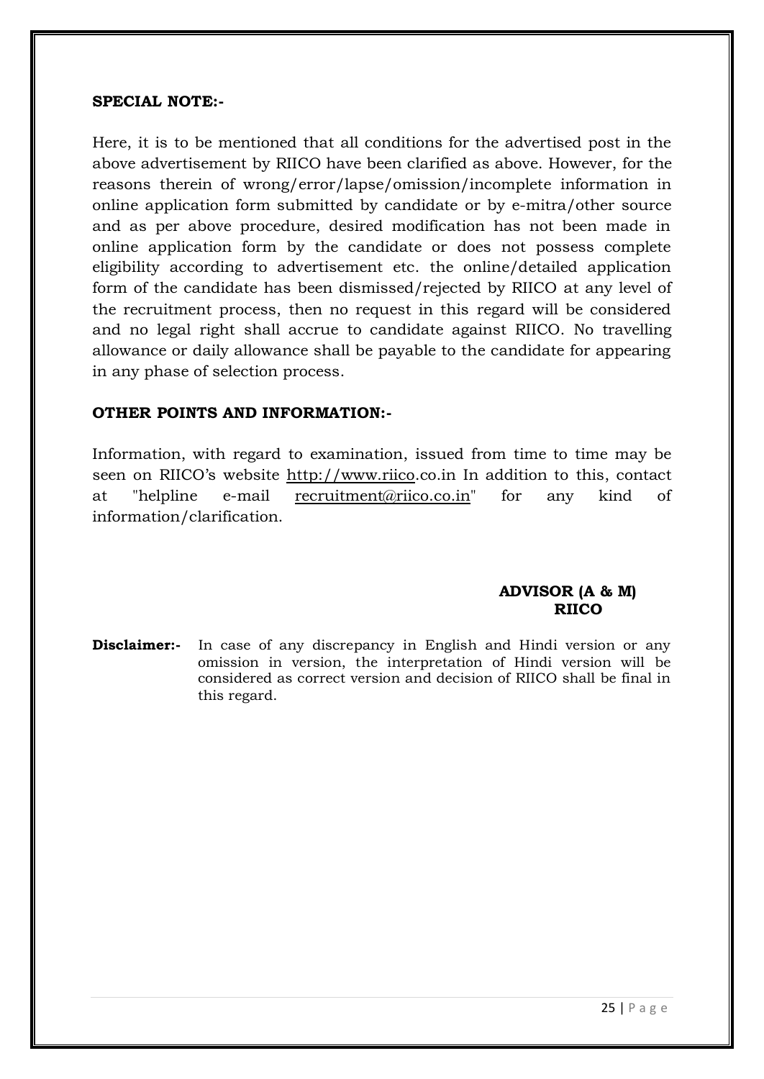### **SPECIAL NOTE:-**

Here, it is to be mentioned that all conditions for the advertised post in the above advertisement by RIICO have been clarified as above. However, for the reasons therein of wrong/error/lapse/omission/incomplete information in online application form submitted by candidate or by e-mitra/other source and as per above procedure, desired modification has not been made in online application form by the candidate or does not possess complete eligibility according to advertisement etc. the online/detailed application form of the candidate has been dismissed/rejected by RIICO at any level of the recruitment process, then no request in this regard will be considered and no legal right shall accrue to candidate against RIICO. No travelling allowance or daily allowance shall be payable to the candidate for appearing in any phase of selection process.

### **OTHER POINTS AND INFORMATION:-**

Information, with regard to examination, issued from time to time may be seen on RIICO's website [http://www.riico.](http://www.industries.rajasthan.gov.in/riico)co.in In addition to this, contact at "helpline e-mail recruitment@riico.co.in" for any kind of information/clarification.

### **ADVISOR (A & M) RIICO**

**Disclaimer:-** In case of any discrepancy in English and Hindi version or any omission in version, the interpretation of Hindi version will be considered as correct version and decision of RIICO shall be final in this regard.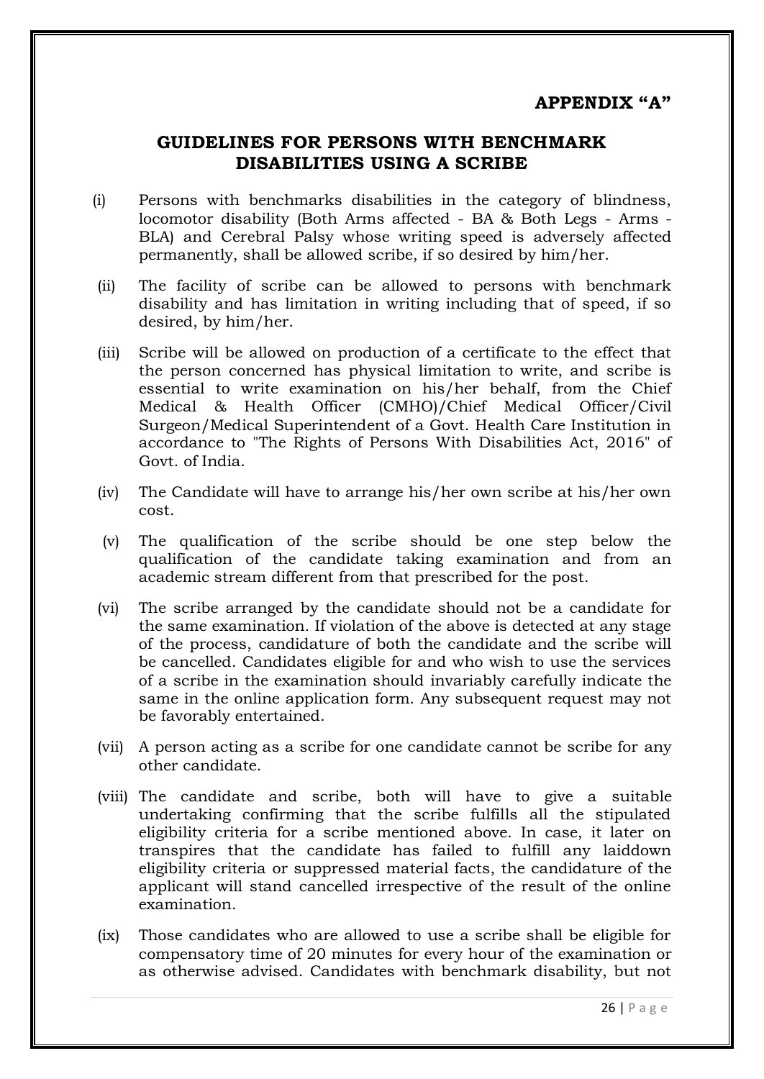# **GUIDELINES FOR PERSONS WITH BENCHMARK DISABILITIES USING A SCRIBE**

- (i) Persons with benchmarks disabilities in the category of blindness, locomotor disability (Both Arms affected - BA & Both Legs - Arms - BLA) and Cerebral Palsy whose writing speed is adversely affected permanently, shall be allowed scribe, if so desired by him/her.
- (ii) The facility of scribe can be allowed to persons with benchmark disability and has limitation in writing including that of speed, if so desired, by him/her.
- (iii) Scribe will be allowed on production of a certificate to the effect that the person concerned has physical limitation to write, and scribe is essential to write examination on his/her behalf, from the Chief Medical & Health Officer (CMHO)/Chief Medical Officer/Civil Surgeon/Medical Superintendent of a Govt. Health Care Institution in accordance to "The Rights of Persons With Disabilities Act, 2016" of Govt. of India.
- (iv) The Candidate will have to arrange his/her own scribe at his/her own cost.
- (v) The qualification of the scribe should be one step below the qualification of the candidate taking examination and from an academic stream different from that prescribed for the post.
- (vi) The scribe arranged by the candidate should not be a candidate for the same examination. If violation of the above is detected at any stage of the process, candidature of both the candidate and the scribe will be cancelled. Candidates eligible for and who wish to use the services of a scribe in the examination should invariably carefully indicate the same in the online application form. Any subsequent request may not be favorably entertained.
- (vii) A person acting as a scribe for one candidate cannot be scribe for any other candidate.
- (viii) The candidate and scribe, both will have to give a suitable undertaking confirming that the scribe fulfills all the stipulated eligibility criteria for a scribe mentioned above. In case, it later on transpires that the candidate has failed to fulfill any laiddown eligibility criteria or suppressed material facts, the candidature of the applicant will stand cancelled irrespective of the result of the online examination.
- (ix) Those candidates who are allowed to use a scribe shall be eligible for compensatory time of 20 minutes for every hour of the examination or as otherwise advised. Candidates with benchmark disability, but not